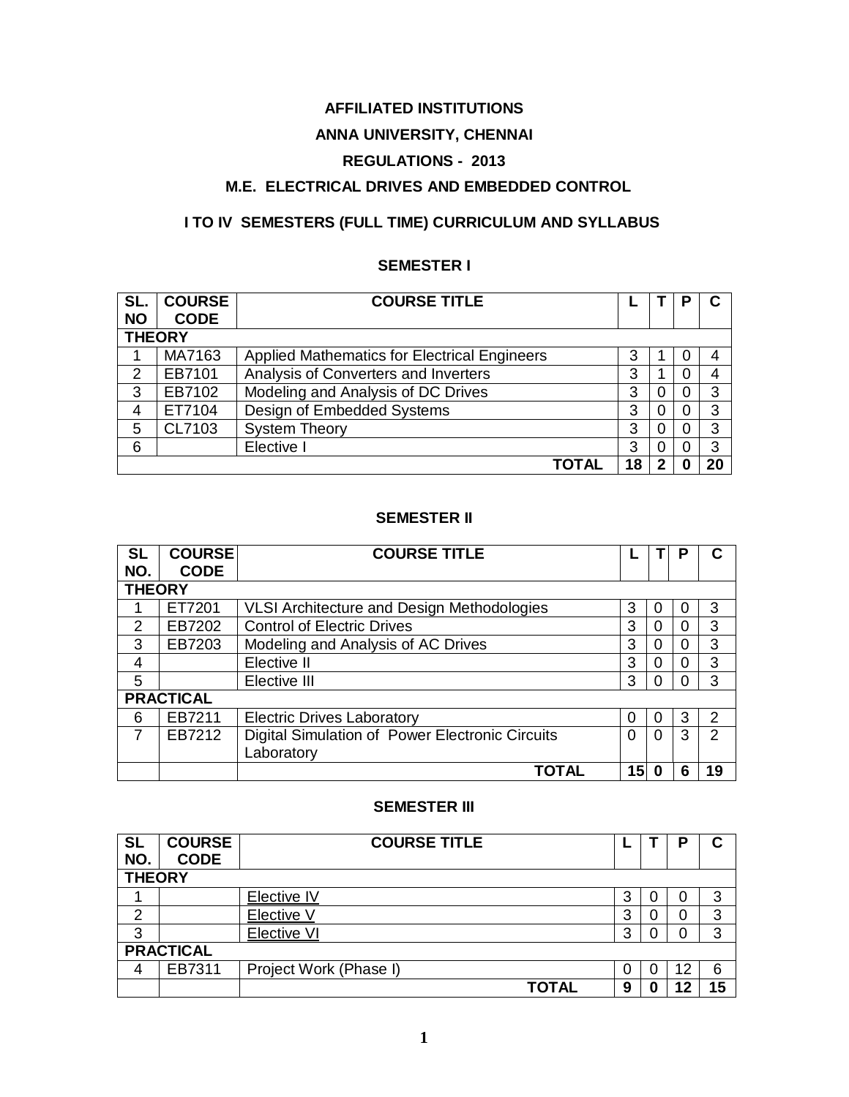# **AFFILIATED INSTITUTIONS**

# **ANNA UNIVERSITY, CHENNAI**

# **REGULATIONS - 2013**

# **M.E. ELECTRICAL DRIVES AND EMBEDDED CONTROL**

# **I TO IV SEMESTERS (FULL TIME) CURRICULUM AND SYLLABUS**

# **SEMESTER I**

| SL.           | <b>COURSE</b> | <b>COURSE TITLE</b>                                 |    |   | Р |    |
|---------------|---------------|-----------------------------------------------------|----|---|---|----|
| <b>NO</b>     | <b>CODE</b>   |                                                     |    |   |   |    |
| <b>THEORY</b> |               |                                                     |    |   |   |    |
|               | MA7163        | <b>Applied Mathematics for Electrical Engineers</b> | 3  |   | O |    |
| 2             | EB7101        | Analysis of Converters and Inverters                | 3  |   |   | 4  |
| 3             | EB7102        | Modeling and Analysis of DC Drives                  | 3  | O | O | 3  |
| 4             | ET7104        | Design of Embedded Systems                          | 3  | 0 |   | 3  |
| 5             | CL7103        | <b>System Theory</b>                                | 3  | 0 |   | 3  |
| 6             |               | Elective I                                          | 3  | 0 |   | 3  |
|               |               | TOTAL                                               | 18 | 2 |   | 20 |

### **SEMESTER II**

| <b>SL</b>     | <b>COURSE</b>    | <b>COURSE TITLE</b>                             |    |   |   |               |
|---------------|------------------|-------------------------------------------------|----|---|---|---------------|
| NO.           | <b>CODE</b>      |                                                 |    |   |   |               |
| <b>THEORY</b> |                  |                                                 |    |   |   |               |
|               | ET7201           | VLSI Architecture and Design Methodologies      | 3  |   | 0 | 3             |
| $\mathcal{P}$ | EB7202           | <b>Control of Electric Drives</b>               | 3  | 0 | 0 | 3             |
| 3             | EB7203           | Modeling and Analysis of AC Drives              | 3  | ∩ | 0 | 3             |
| 4             |                  | Elective II                                     | 3  | O | 0 | 3             |
| 5             |                  | Elective III                                    | 3  | ∩ | 0 | 3             |
|               | <b>PRACTICAL</b> |                                                 |    |   |   |               |
| 6             | EB7211           | <b>Electric Drives Laboratory</b>               | 0  | ∩ | 3 | $\mathcal{P}$ |
| 7             | EB7212           | Digital Simulation of Power Electronic Circuits | 0  | 0 | 3 | $\mathcal{P}$ |
|               |                  | Laboratory                                      |    |   |   |               |
|               |                  | <b>TOTAL</b>                                    | 15 | 0 | 6 | 19            |

#### **SEMESTER III**

| <b>SL</b><br>NO. | <b>COURSE</b><br><b>CODE</b> | <b>COURSE TITLE</b>    |   |   | D  |    |
|------------------|------------------------------|------------------------|---|---|----|----|
|                  | <b>THEORY</b>                |                        |   |   |    |    |
|                  |                              | Elective IV            | 3 | U | 0  | 3  |
| 2                |                              | Elective V             | 3 | U | 0  | 3  |
| 3                |                              | <b>Elective VI</b>     | 3 | U | 0  | 3  |
| <b>PRACTICAL</b> |                              |                        |   |   |    |    |
| 4                | EB7311                       | Project Work (Phase I) | 0 | U | 12 | 6  |
|                  |                              | TOTAL                  | 9 | O | 12 | 15 |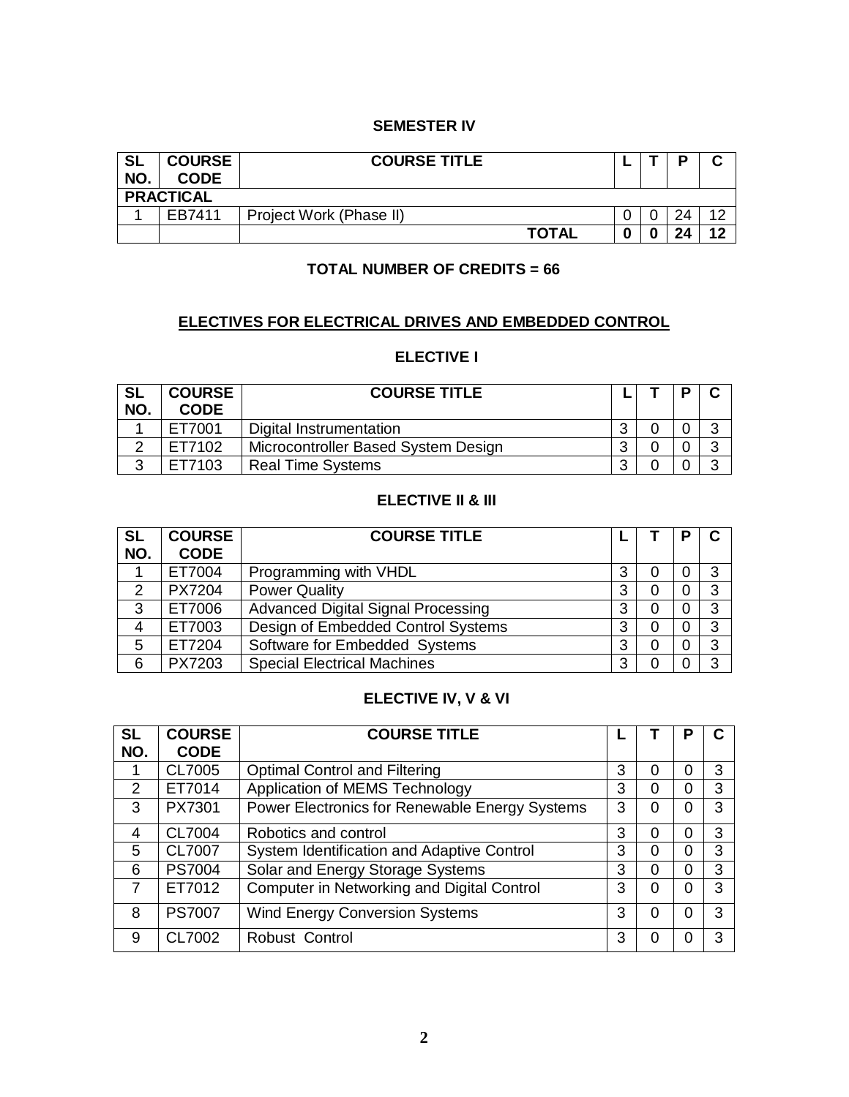#### **SEMESTER IV**

| <b>SL</b><br>NO. | <b>COURSE</b><br><b>CODE</b> | <b>COURSE TITLE</b>     |  |   | D  |     |  |  |
|------------------|------------------------------|-------------------------|--|---|----|-----|--|--|
|                  | <b>PRACTICAL</b>             |                         |  |   |    |     |  |  |
|                  | FB7411                       | Project Work (Phase II) |  |   | 24 | 1 ຕ |  |  |
|                  |                              | <b>TOTAL</b>            |  | 0 | 24 | 12  |  |  |

# **TOTAL NUMBER OF CREDITS = 66**

# **ELECTIVES FOR ELECTRICAL DRIVES AND EMBEDDED CONTROL**

# **ELECTIVE I**

| <b>SL</b><br>NO. | <b>COURSE</b><br><b>CODE</b> | <b>COURSE TITLE</b>                 |   |  |        |
|------------------|------------------------------|-------------------------------------|---|--|--------|
|                  | ET7001                       | Digital Instrumentation             | ◠ |  | ⌒      |
| ⌒                | ET7102                       | Microcontroller Based System Design | ◠ |  | ◠      |
| ◠<br>N           | FT7103                       | <b>Real Time Systems</b>            |   |  | $\sim$ |

#### **ELECTIVE II & III**

| <b>SL</b><br>NO. | <b>COURSE</b><br><b>CODE</b> | <b>COURSE TITLE</b>                       |   |  |    |
|------------------|------------------------------|-------------------------------------------|---|--|----|
|                  | ET7004                       | Programming with VHDL                     | 3 |  | 3  |
| 2                | <b>PX7204</b>                | <b>Power Quality</b>                      | З |  | 3  |
| 3                | ET7006                       | <b>Advanced Digital Signal Processing</b> | 3 |  | 3  |
| 4                | ET7003                       | Design of Embedded Control Systems        | 3 |  | 3  |
| 5                | ET7204                       | Software for Embedded Systems             | 3 |  | 3  |
| 6                | PX7203                       | <b>Special Electrical Machines</b>        | З |  | ิว |

# **ELECTIVE IV, V & VI**

| <b>SL</b>      | <b>COURSE</b> | <b>COURSE TITLE</b>                            |   |   | Ρ |   |
|----------------|---------------|------------------------------------------------|---|---|---|---|
| NO.            | <b>CODE</b>   |                                                |   |   |   |   |
|                | CL7005        | <b>Optimal Control and Filtering</b>           | 3 | ი | 0 | 3 |
| $\overline{2}$ | ET7014        | Application of MEMS Technology                 | 3 | 0 | 0 | 3 |
| 3              | PX7301        | Power Electronics for Renewable Energy Systems | 3 | 0 | 0 | 3 |
| 4              | CL7004        | Robotics and control                           | 3 |   | 0 | 3 |
| 5              | CL7007        | System Identification and Adaptive Control     | 3 | 0 | 0 | 3 |
| 6              | <b>PS7004</b> | Solar and Energy Storage Systems               | 3 | 0 | 0 | 3 |
| $\overline{7}$ | ET7012        | Computer in Networking and Digital Control     | 3 | ი | 0 | 3 |
| 8              | <b>PS7007</b> | <b>Wind Energy Conversion Systems</b>          | 3 | ი | 0 | 3 |
| 9              | CL7002        | Robust Control                                 | 3 |   |   | З |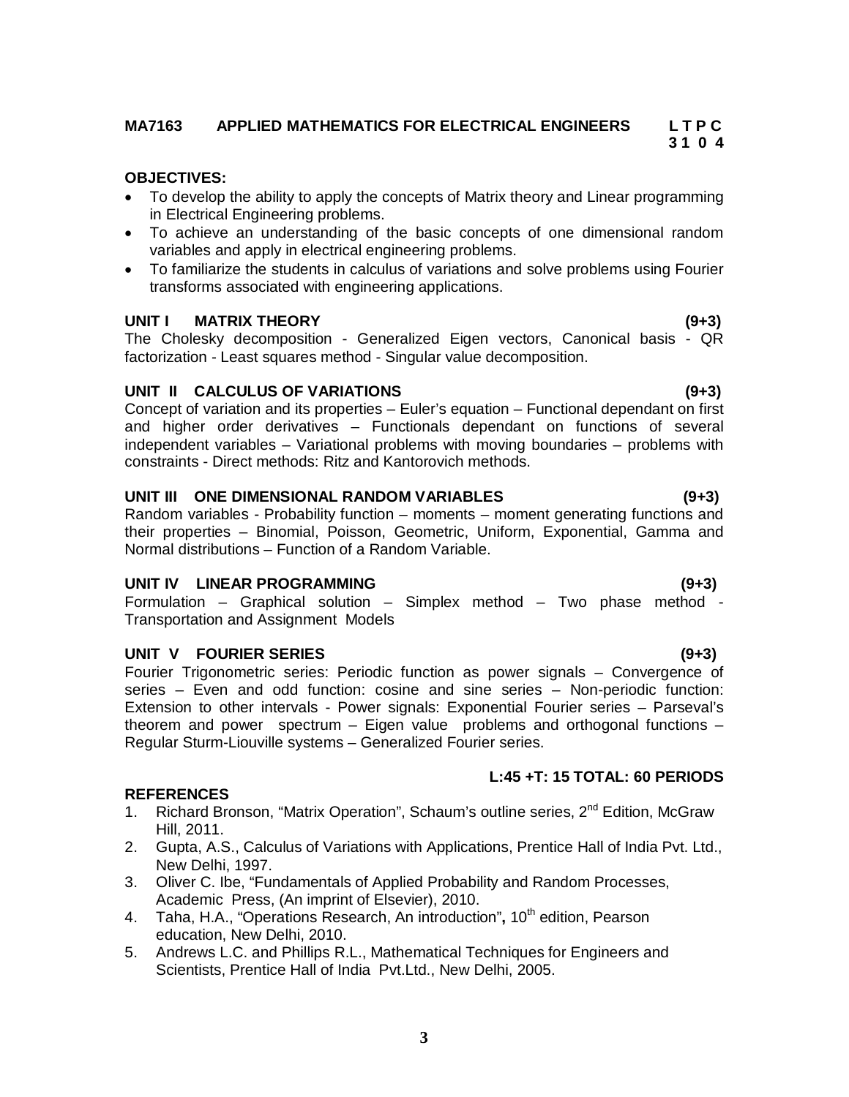#### **MA7163 APPLIED MATHEMATICS FOR ELECTRICAL ENGINEERS L T P C 3 1 0 4**

### **OBJECTIVES:**

- To develop the ability to apply the concepts of Matrix theory and Linear programming in Electrical Engineering problems.
- To achieve an understanding of the basic concepts of one dimensional random variables and apply in electrical engineering problems.
- To familiarize the students in calculus of variations and solve problems using Fourier transforms associated with engineering applications.

#### **UNIT I MATRIX THEORY (9+3)**

The Cholesky decomposition - Generalized Eigen vectors, Canonical basis - QR factorization - Least squares method - Singular value decomposition.

### **UNIT II CALCULUS OF VARIATIONS (9+3)**

Concept of variation and its properties – Euler's equation – Functional dependant on first and higher order derivatives – Functionals dependant on functions of several independent variables – Variational problems with moving boundaries – problems with constraints - Direct methods: Ritz and Kantorovich methods.

#### **UNIT III ONE DIMENSIONAL RANDOM VARIABLES (9+3)**

Random variables - Probability function – moments – moment generating functions and their properties – Binomial, Poisson, Geometric, Uniform, Exponential, Gamma and Normal distributions – Function of a Random Variable.

### **UNIT IV LINEAR PROGRAMMING (9+3)**

Formulation – Graphical solution – Simplex method – Two phase method - Transportation and Assignment Models

### **UNIT V FOURIER SERIES (9+3)**

Fourier Trigonometric series: Periodic function as power signals – Convergence of series – Even and odd function: cosine and sine series – Non-periodic function: Extension to other intervals - Power signals: Exponential Fourier series – Parseval's theorem and power spectrum – Eigen value problems and orthogonal functions – Regular Sturm-Liouville systems – Generalized Fourier series.

#### **REFERENCES**

- 1. Richard Bronson, "Matrix Operation", Schaum's outline series, 2<sup>nd</sup> Edition, McGraw Hill, 2011.
- 2. Gupta, A.S., Calculus of Variations with Applications, Prentice Hall of India Pvt. Ltd., New Delhi, 1997.
- 3. Oliver C. Ibe, "Fundamentals of Applied Probability and Random Processes, Academic Press, (An imprint of Elsevier), 2010.
- 4. Taha, H.A., "Operations Research, An introduction", 10<sup>th</sup> edition, Pearson education, New Delhi, 2010.
- 5. Andrews L.C. and Phillips R.L., Mathematical Techniques for Engineers and Scientists, Prentice Hall of India Pvt.Ltd., New Delhi, 2005.

**L:45 +T: 15 TOTAL: 60 PERIODS**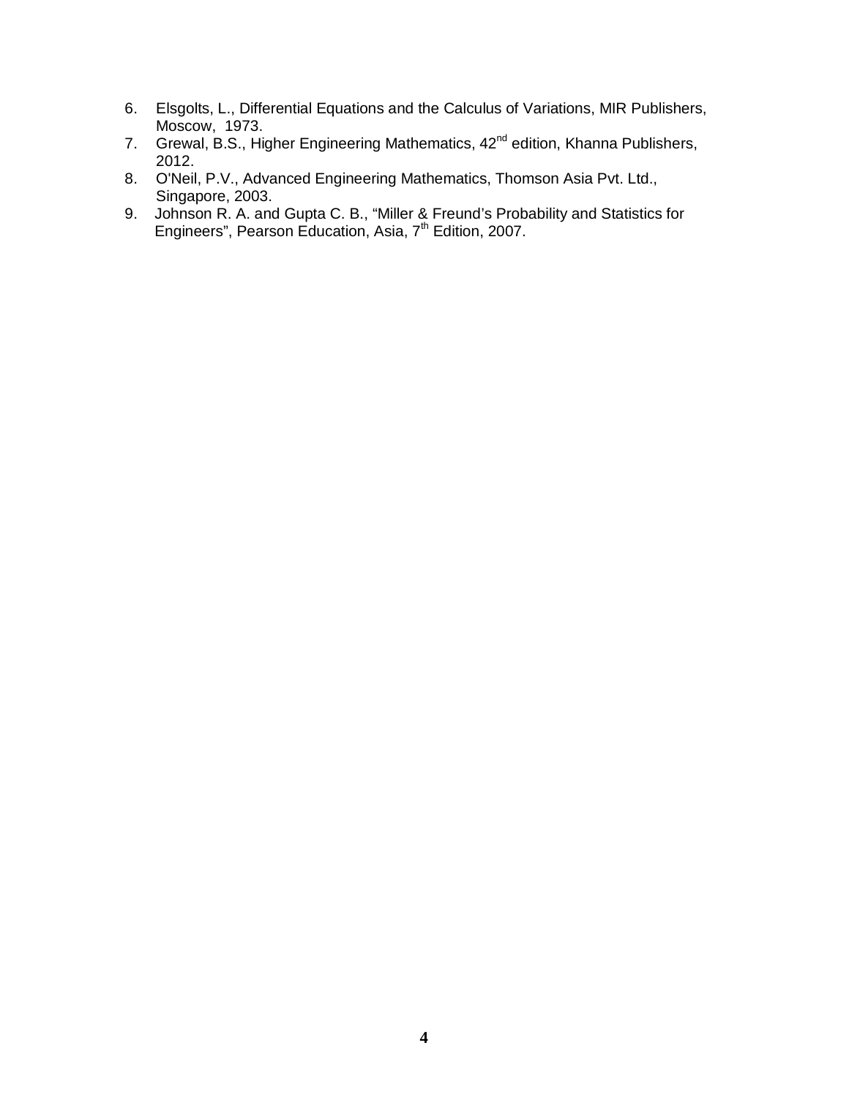- 6. Elsgolts, L., Differential Equations and the Calculus of Variations, MIR Publishers, Moscow, 1973.
- 7. Grewal, B.S., Higher Engineering Mathematics, 42<sup>nd</sup> edition, Khanna Publishers, 2012.
- 8. O'Neil, P.V., Advanced Engineering Mathematics, Thomson Asia Pvt. Ltd., Singapore, 2003.
- 9. Johnson R. A. and Gupta C. B., "Miller & Freund's Probability and Statistics for Engineers", Pearson Education, Asia, 7<sup>th</sup> Edition, 2007.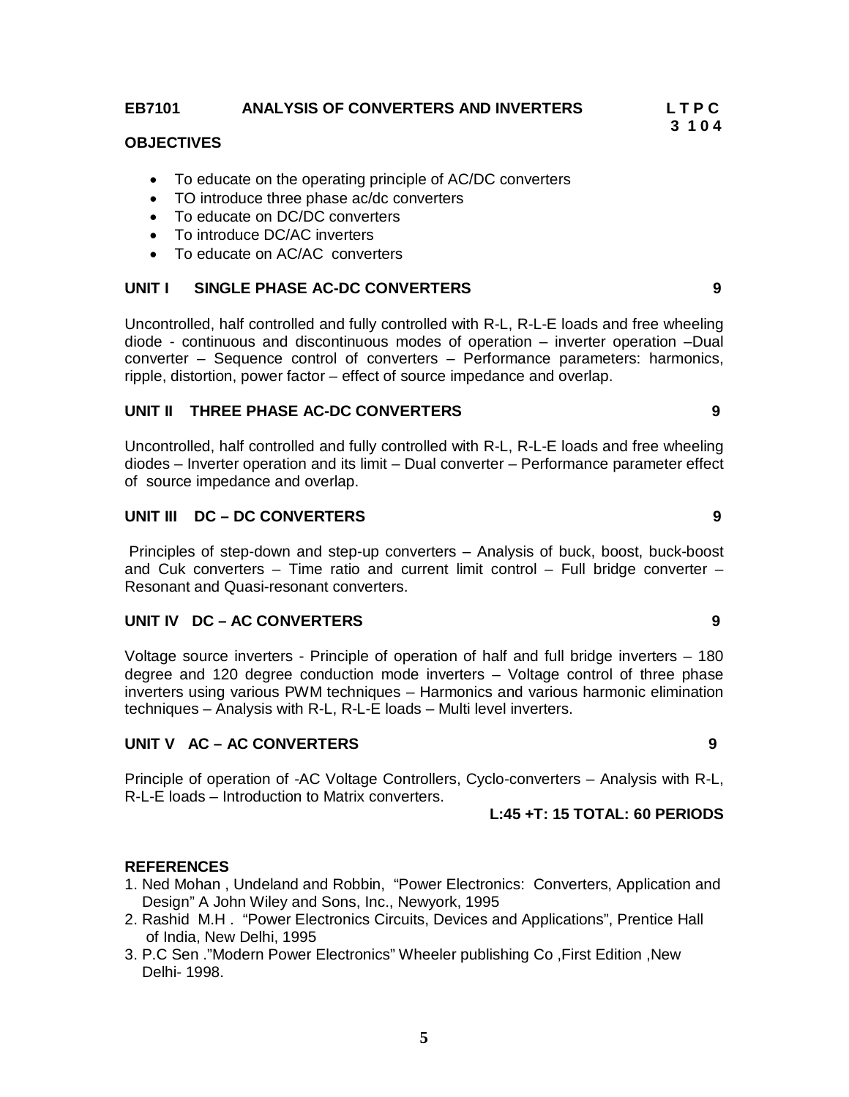### **OBJECTIVES**

- To educate on the operating principle of AC/DC converters
- TO introduce three phase ac/dc converters
- To educate on DC/DC converters
- To introduce DC/AC inverters
- To educate on AC/AC converters

# **UNIT I SINGLE PHASE AC-DC CONVERTERS 9**

Uncontrolled, half controlled and fully controlled with R-L, R-L-E loads and free wheeling diode - continuous and discontinuous modes of operation – inverter operation –Dual converter – Sequence control of converters – Performance parameters: harmonics, ripple, distortion, power factor – effect of source impedance and overlap.

# **UNIT II THREE PHASE AC-DC CONVERTERS 9**

Uncontrolled, half controlled and fully controlled with R-L, R-L-E loads and free wheeling diodes – Inverter operation and its limit – Dual converter – Performance parameter effect of source impedance and overlap.

# **UNIT III DC – DC CONVERTERS 9**

Principles of step-down and step-up converters – Analysis of buck, boost, buck-boost and Cuk converters – Time ratio and current limit control – Full bridge converter – Resonant and Quasi-resonant converters.

# **UNIT IV DC – AC CONVERTERS 9**

Voltage source inverters - Principle of operation of half and full bridge inverters – 180 degree and 120 degree conduction mode inverters – Voltage control of three phase inverters using various PWM techniques – Harmonics and various harmonic elimination techniques – Analysis with R-L, R-L-E loads – Multi level inverters.

# **UNIT V AC – AC CONVERTERS 9**

Principle of operation of -AC Voltage Controllers, Cyclo-converters – Analysis with R-L, R-L-E loads – Introduction to Matrix converters.

### **L:45 +T: 15 TOTAL: 60 PERIODS**

### **REFERENCES**

- 1. Ned Mohan , Undeland and Robbin, "Power Electronics: Converters, Application and Design" A John Wiley and Sons, Inc., Newyork, 1995
- 2. Rashid M.H . "Power Electronics Circuits, Devices and Applications", Prentice Hall of India, New Delhi, 1995
- 3. P.C Sen ."Modern Power Electronics" Wheeler publishing Co ,First Edition ,New Delhi- 1998.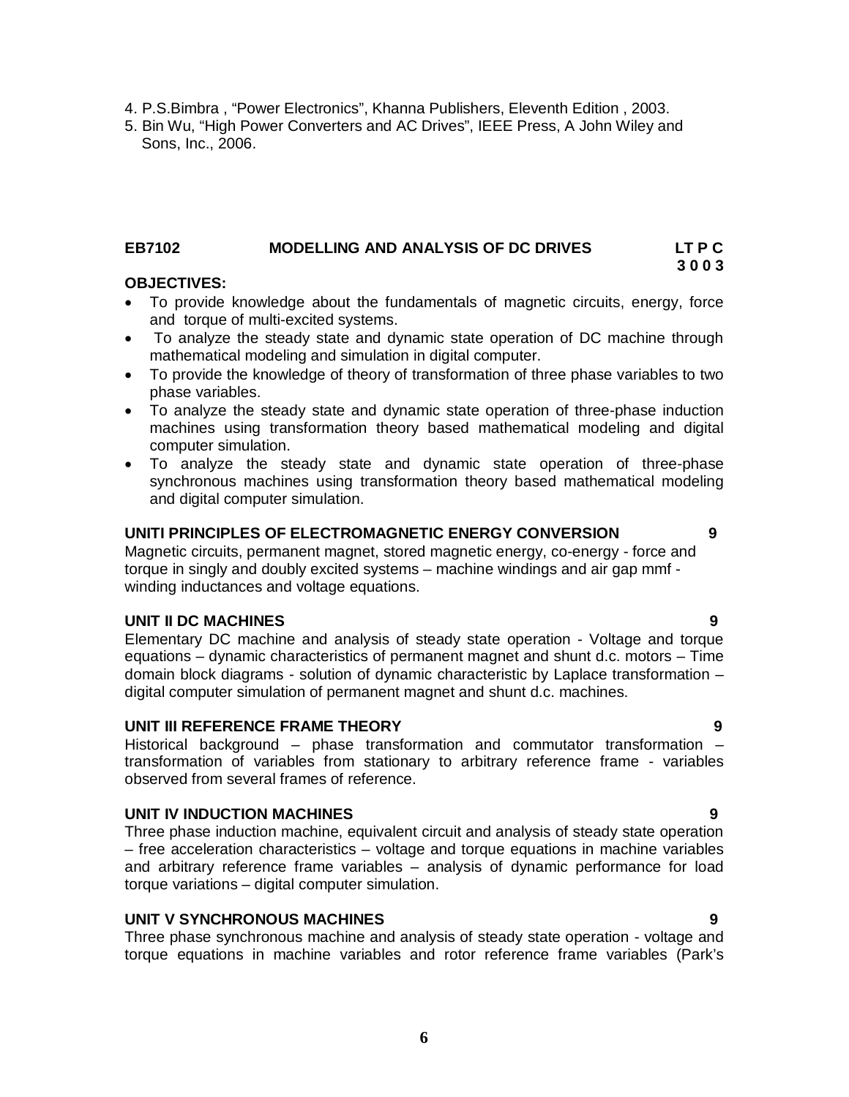4. P.S.Bimbra , "Power Electronics", Khanna Publishers, Eleventh Edition , 2003.

5. Bin Wu, "High Power Converters and AC Drives", IEEE Press, A John Wiley and Sons, Inc., 2006.

### **EB7102 MODELLING AND ANALYSIS OF DC DRIVES LT P C**

# **3 0 0 3**

# **OBJECTIVES:**

- To provide knowledge about the fundamentals of magnetic circuits, energy, force and torque of multi-excited systems.
- To analyze the steady state and dynamic state operation of DC machine through mathematical modeling and simulation in digital computer.
- To provide the knowledge of theory of transformation of three phase variables to two phase variables.
- To analyze the steady state and dynamic state operation of three-phase induction machines using transformation theory based mathematical modeling and digital computer simulation.
- To analyze the steady state and dynamic state operation of three-phase synchronous machines using transformation theory based mathematical modeling and digital computer simulation.

# **UNITI PRINCIPLES OF ELECTROMAGNETIC ENERGY CONVERSION 9**

Magnetic circuits, permanent magnet, stored magnetic energy, co-energy - force and torque in singly and doubly excited systems – machine windings and air gap mmf winding inductances and voltage equations.

# **UNIT II DC MACHINES 9**

Elementary DC machine and analysis of steady state operation - Voltage and torque equations – dynamic characteristics of permanent magnet and shunt d.c. motors – Time domain block diagrams - solution of dynamic characteristic by Laplace transformation – digital computer simulation of permanent magnet and shunt d.c. machines.

# **UNIT III REFERENCE FRAME THEORY 9**

Historical background – phase transformation and commutator transformation – transformation of variables from stationary to arbitrary reference frame - variables observed from several frames of reference.

### **UNIT IV INDUCTION MACHINES 9**

Three phase induction machine, equivalent circuit and analysis of steady state operation – free acceleration characteristics – voltage and torque equations in machine variables and arbitrary reference frame variables – analysis of dynamic performance for load torque variations – digital computer simulation.

### **UNIT V SYNCHRONOUS MACHINES 9**

Three phase synchronous machine and analysis of steady state operation - voltage and torque equations in machine variables and rotor reference frame variables (Park's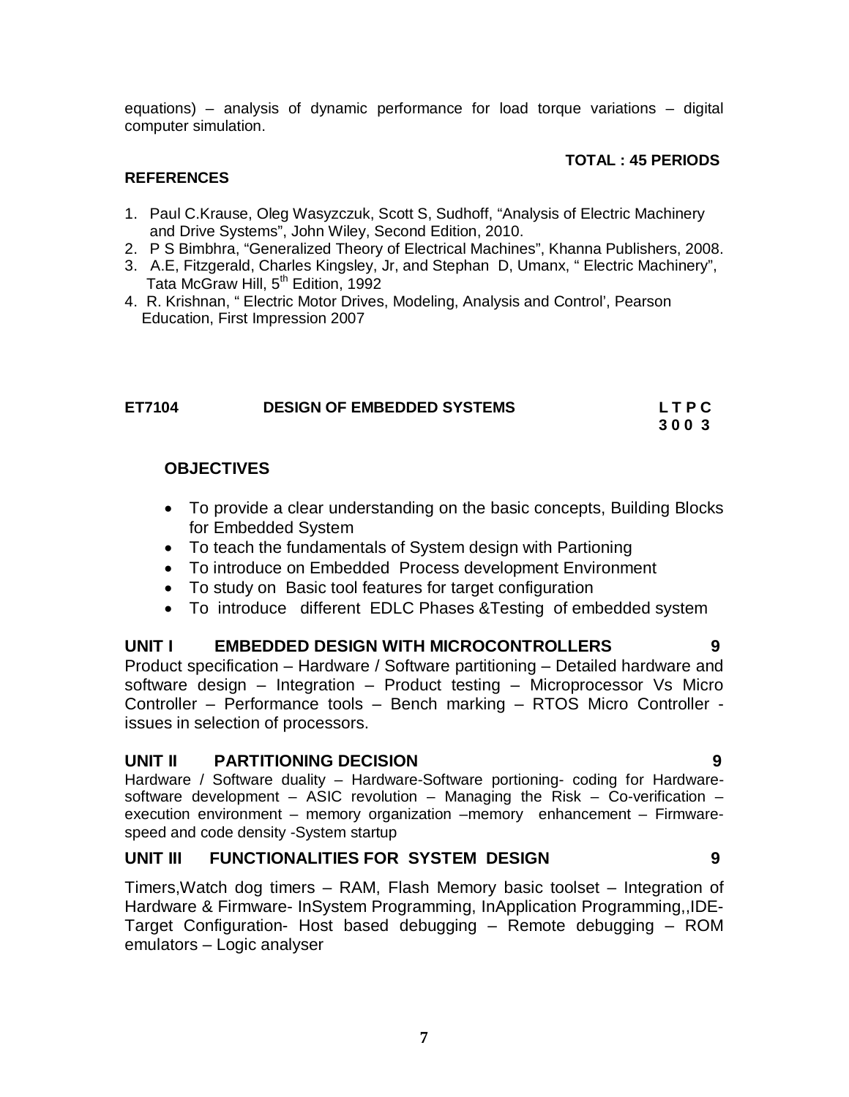equations) – analysis of dynamic performance for load torque variations – digital computer simulation.

# **TOTAL : 45 PERIODS**

# **REFERENCES**

- 1. Paul C.Krause, Oleg Wasyzczuk, Scott S, Sudhoff, "Analysis of Electric Machinery and Drive Systems", John Wiley, Second Edition, 2010.
- 2. P S Bimbhra, "Generalized Theory of Electrical Machines", Khanna Publishers, 2008.
- 3. A.E, Fitzgerald, Charles Kingsley, Jr, and Stephan D, Umanx, " Electric Machinery", Tata McGraw Hill, 5<sup>th</sup> Edition, 1992
- 4. R. Krishnan, " Electric Motor Drives, Modeling, Analysis and Control', Pearson Education, First Impression 2007

| ET7104 | <b>DESIGN OF EMBEDDED SYSTEMS</b> | LTPC |
|--------|-----------------------------------|------|
|        |                                   | 3003 |

# **OBJECTIVES**

- To provide a clear understanding on the basic concepts, Building Blocks for Embedded System
- To teach the fundamentals of System design with Partioning
- To introduce on Embedded Process development Environment
- To study on Basic tool features for target configuration
- To introduce different EDLC Phases &Testing of embedded system

# **UNIT I EMBEDDED DESIGN WITH MICROCONTROLLERS 9**

Product specification – Hardware / Software partitioning – Detailed hardware and software design – Integration – Product testing – Microprocessor Vs Micro Controller – Performance tools – Bench marking – RTOS Micro Controller issues in selection of processors.

# **UNIT II PARTITIONING DECISION 9**

Hardware / Software duality – Hardware-Software portioning- coding for Hardwaresoftware development – ASIC revolution – Managing the Risk – Co-verification – execution environment – memory organization –memory enhancement – Firmwarespeed and code density -System startup

# **UNIT III FUNCTIONALITIES FOR SYSTEM DESIGN 9**

Timers,Watch dog timers – RAM, Flash Memory basic toolset – Integration of Hardware & Firmware- InSystem Programming, InApplication Programming,,IDE-Target Configuration- Host based debugging – Remote debugging – ROM emulators – Logic analyser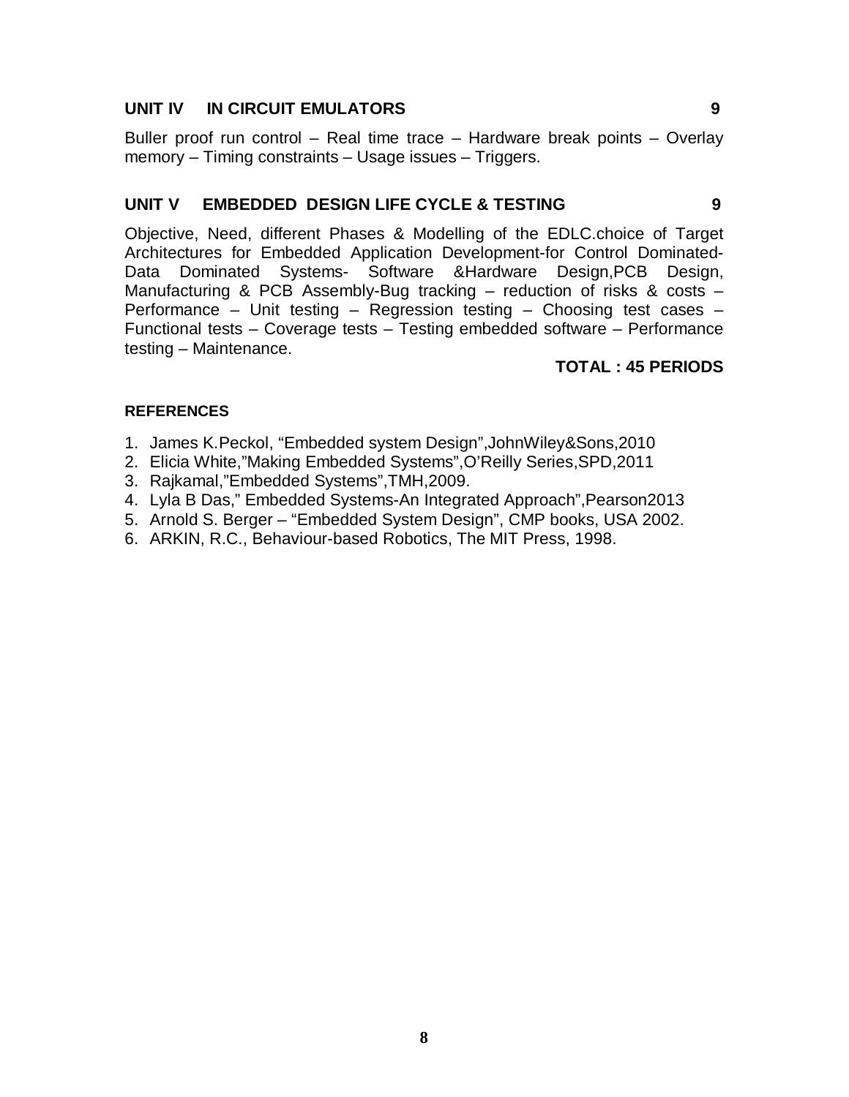# **UNIT IV IN CIRCUIT EMULATORS 9**

Buller proof run control – Real time trace – Hardware break points – Overlay memory – Timing constraints – Usage issues – Triggers.

# **UNIT V EMBEDDED DESIGN LIFE CYCLE & TESTING 9**

Objective, Need, different Phases & Modelling of the EDLC.choice of Target Architectures for Embedded Application Development-for Control Dominated-Data Dominated Systems- Software &Hardware Design, PCB Design, Manufacturing & PCB Assembly-Bug tracking – reduction of risks & costs – Performance – Unit testing – Regression testing – Choosing test cases – Functional tests – Coverage tests – Testing embedded software – Performance testing – Maintenance.

# **TOTAL : 45 PERIODS**

# **REFERENCES**

- 1. James K.Peckol, "Embedded system Design",JohnWiley&Sons,2010
- 2. Elicia White,"Making Embedded Systems",O'Reilly Series,SPD,2011
- 3. Rajkamal,"Embedded Systems",TMH,2009.
- 4. Lyla B Das," Embedded Systems-An Integrated Approach",Pearson2013
- 5. Arnold S. Berger "Embedded System Design", CMP books, USA 2002.
- 6. ARKIN, R.C., Behaviour-based Robotics, The MIT Press, 1998.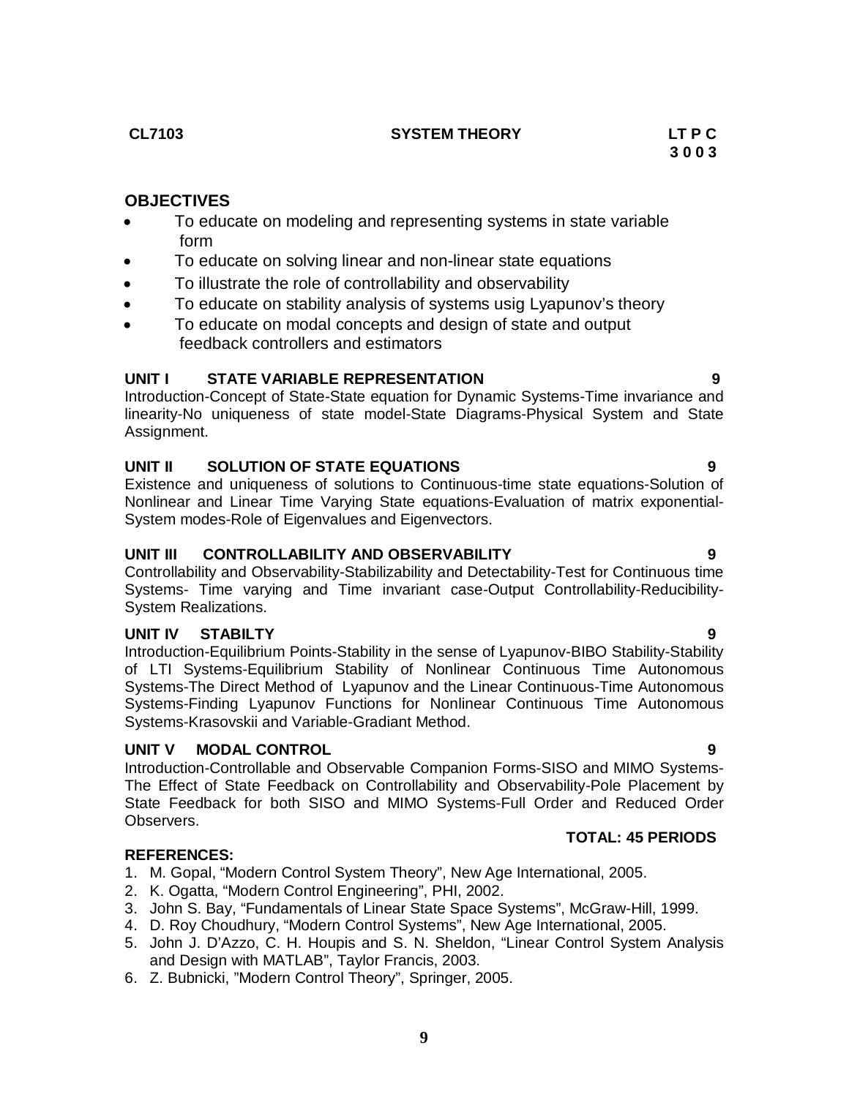**CL7103 SYSTEM THEORY LT P C** 

# **OBJECTIVES**

- To educate on modeling and representing systems in state variable form
- To educate on solving linear and non-linear state equations
- To illustrate the role of controllability and observability
- To educate on stability analysis of systems usig Lyapunov's theory
- To educate on modal concepts and design of state and output feedback controllers and estimators

# **UNIT I STATE VARIABLE REPRESENTATION 9**

Introduction-Concept of State-State equation for Dynamic Systems-Time invariance and linearity-No uniqueness of state model-State Diagrams-Physical System and State Assignment.

# **UNIT II SOLUTION OF STATE EQUATIONS 9**

Existence and uniqueness of solutions to Continuous-time state equations-Solution of Nonlinear and Linear Time Varying State equations-Evaluation of matrix exponential-System modes-Role of Eigenvalues and Eigenvectors.

# **UNIT III CONTROLLABILITY AND OBSERVABILITY 9**

Controllability and Observability-Stabilizability and Detectability-Test for Continuous time Systems- Time varying and Time invariant case-Output Controllability-Reducibility-System Realizations.

### **UNIT IV STABILTY 9**

Introduction-Equilibrium Points-Stability in the sense of Lyapunov-BIBO Stability-Stability of LTI Systems-Equilibrium Stability of Nonlinear Continuous Time Autonomous Systems-The Direct Method of Lyapunov and the Linear Continuous-Time Autonomous Systems-Finding Lyapunov Functions for Nonlinear Continuous Time Autonomous Systems-Krasovskii and Variable-Gradiant Method.

### **UNIT V MODAL CONTROL 9**

Introduction-Controllable and Observable Companion Forms-SISO and MIMO Systems-The Effect of State Feedback on Controllability and Observability-Pole Placement by State Feedback for both SISO and MIMO Systems-Full Order and Reduced Order Observers.

# **REFERENCES:**

- 1. M. Gopal, "Modern Control System Theory", New Age International, 2005.
- 2. K. Ogatta, "Modern Control Engineering", PHI, 2002.
- 3. John S. Bay, "Fundamentals of Linear State Space Systems", McGraw-Hill, 1999.
- 4. D. Roy Choudhury, "Modern Control Systems", New Age International, 2005.
- 5. John J. D'Azzo, C. H. Houpis and S. N. Sheldon, "Linear Control System Analysis and Design with MATLAB", Taylor Francis, 2003.

**9**

6. Z. Bubnicki, "Modern Control Theory", Springer, 2005.

# **TOTAL: 45 PERIODS**

# **3 0 0 3**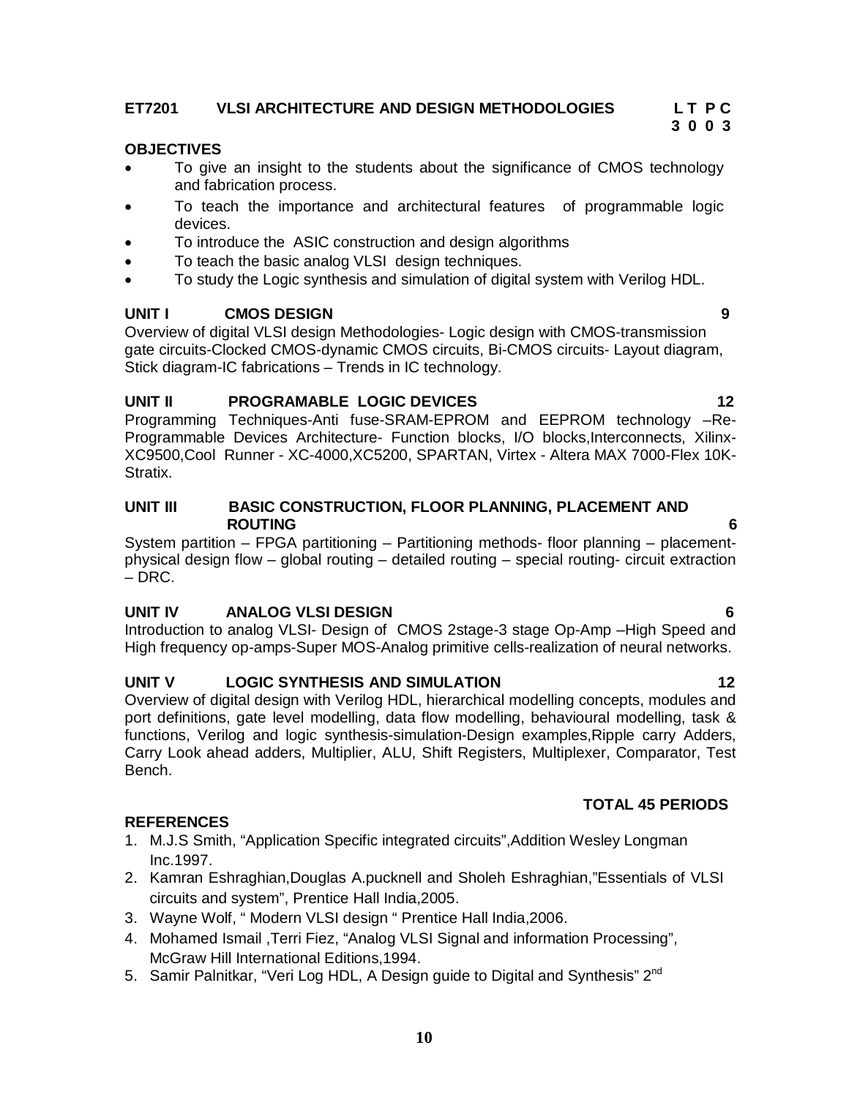# **ET7201 VLSI ARCHITECTURE AND DESIGN METHODOLOGIES L T P C**

# **OBJECTIVES**

 To give an insight to the students about the significance of CMOS technology and fabrication process.

 **3 0 0 3**

- To teach the importance and architectural features of programmable logic devices.
- To introduce the ASIC construction and design algorithms
- To teach the basic analog VLSI design techniques.
- To study the Logic synthesis and simulation of digital system with Verilog HDL.

### **UNIT I CMOS DESIGN 9**

Overview of digital VLSI design Methodologies- Logic design with CMOS-transmission gate circuits-Clocked CMOS-dynamic CMOS circuits, Bi-CMOS circuits- Layout diagram, Stick diagram-IC fabrications – Trends in IC technology.

#### **UNIT II PROGRAMABLE LOGIC DEVICES** 12

Programming Techniques-Anti fuse-SRAM-EPROM and EEPROM technology –Re-Programmable Devices Architecture- Function blocks, I/O blocks,Interconnects, Xilinx-XC9500,Cool Runner - XC-4000,XC5200, SPARTAN, Virtex - Altera MAX 7000-Flex 10K-Stratix.

#### **UNIT III BASIC CONSTRUCTION, FLOOR PLANNING, PLACEMENT AND ROUTING 6**

System partition – FPGA partitioning – Partitioning methods- floor planning – placementphysical design flow – global routing – detailed routing – special routing- circuit extraction – DRC.

### **UNIT IV ANALOG VLSI DESIGN 6**

Introduction to analog VLSI- Design of CMOS 2stage-3 stage Op-Amp –High Speed and High frequency op-amps-Super MOS-Analog primitive cells-realization of neural networks.

### **UNIT V LOGIC SYNTHESIS AND SIMULATION 12**

Overview of digital design with Verilog HDL, hierarchical modelling concepts, modules and port definitions, gate level modelling, data flow modelling, behavioural modelling, task & functions, Verilog and logic synthesis-simulation-Design examples,Ripple carry Adders, Carry Look ahead adders, Multiplier, ALU, Shift Registers, Multiplexer, Comparator, Test Bench.

### **REFERENCES**

- 1. M.J.S Smith, "Application Specific integrated circuits",Addition Wesley Longman Inc.1997.
- 2. Kamran Eshraghian,Douglas A.pucknell and Sholeh Eshraghian,"Essentials of VLSI circuits and system", Prentice Hall India,2005.
- 3. Wayne Wolf, " Modern VLSI design " Prentice Hall India,2006.
- 4. Mohamed Ismail ,Terri Fiez, "Analog VLSI Signal and information Processing", McGraw Hill International Editions,1994.
- 5. Samir Palnitkar, "Veri Log HDL, A Design guide to Digital and Synthesis" 2<sup>nd</sup>

# **TOTAL 45 PERIODS**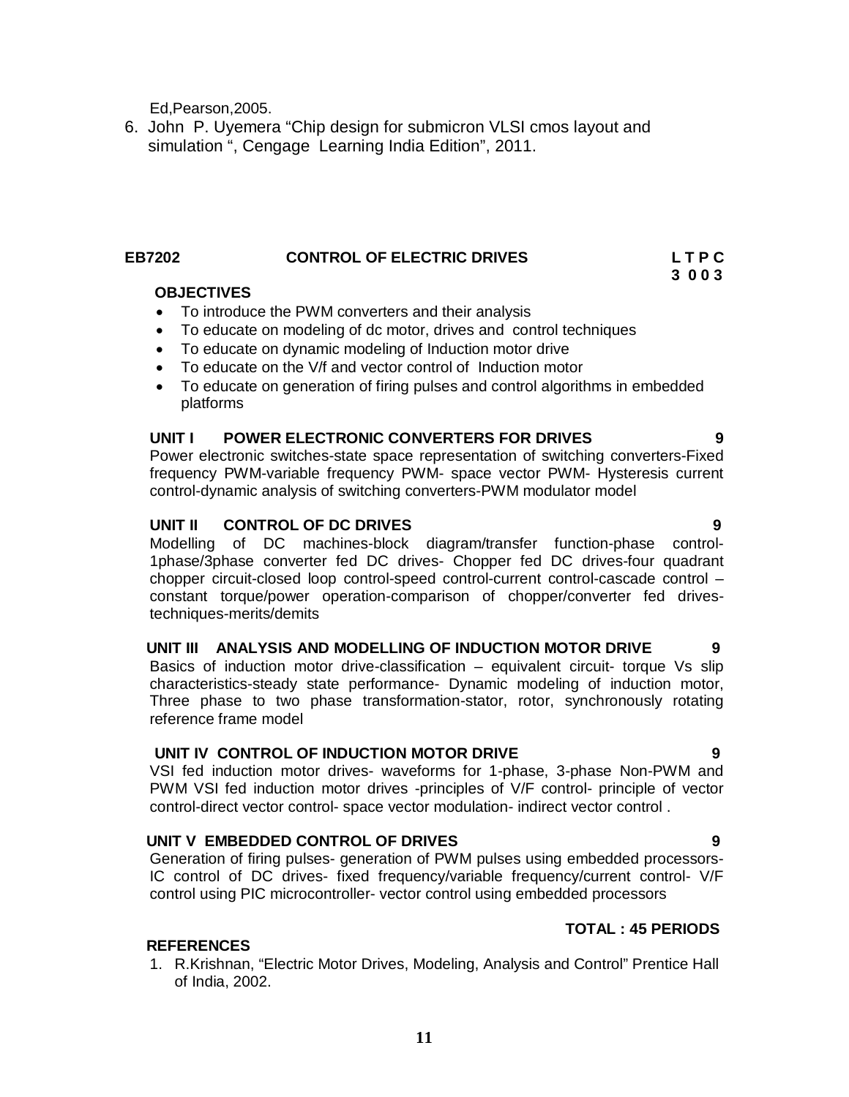Ed,Pearson,2005.

6. John P. Uyemera "Chip design for submicron VLSI cmos layout and simulation ", Cengage Learning India Edition", 2011.

# EB7202 **CONTROL OF ELECTRIC DRIVES** L T P C<br>3 0 0 3

#### **3 0 0 3 OBJECTIVES**

- To introduce the PWM converters and their analysis
- To educate on modeling of dc motor, drives and control techniques
- To educate on dynamic modeling of Induction motor drive
- To educate on the V/f and vector control of Induction motor
- To educate on generation of firing pulses and control algorithms in embedded platforms

### **UNIT I POWER ELECTRONIC CONVERTERS FOR DRIVES 9**

Power electronic switches-state space representation of switching converters-Fixed frequency PWM-variable frequency PWM- space vector PWM- Hysteresis current control-dynamic analysis of switching converters-PWM modulator model

### **UNIT II CONTROL OF DC DRIVES 9**

Modelling of DC machines-block diagram/transfer function-phase control-1phase/3phase converter fed DC drives- Chopper fed DC drives-four quadrant chopper circuit-closed loop control-speed control-current control-cascade control – constant torque/power operation-comparison of chopper/converter fed drivestechniques-merits/demits

# **UNIT III ANALYSIS AND MODELLING OF INDUCTION MOTOR DRIVE 9**

Basics of induction motor drive-classification – equivalent circuit- torque Vs slip characteristics-steady state performance- Dynamic modeling of induction motor, Three phase to two phase transformation-stator, rotor, synchronously rotating reference frame model

### **UNIT IV CONTROL OF INDUCTION MOTOR DRIVE 9**

VSI fed induction motor drives- waveforms for 1-phase, 3-phase Non-PWM and PWM VSI fed induction motor drives -principles of V/F control- principle of vector control-direct vector control- space vector modulation- indirect vector control .

### **UNIT V EMBEDDED CONTROL OF DRIVES 9**

Generation of firing pulses- generation of PWM pulses using embedded processors-IC control of DC drives- fixed frequency/variable frequency/current control- V/F control using PIC microcontroller- vector control using embedded processors

### **TOTAL : 45 PERIODS**

### **REFERENCES**

1. R.Krishnan, "Electric Motor Drives, Modeling, Analysis and Control" Prentice Hall of India, 2002.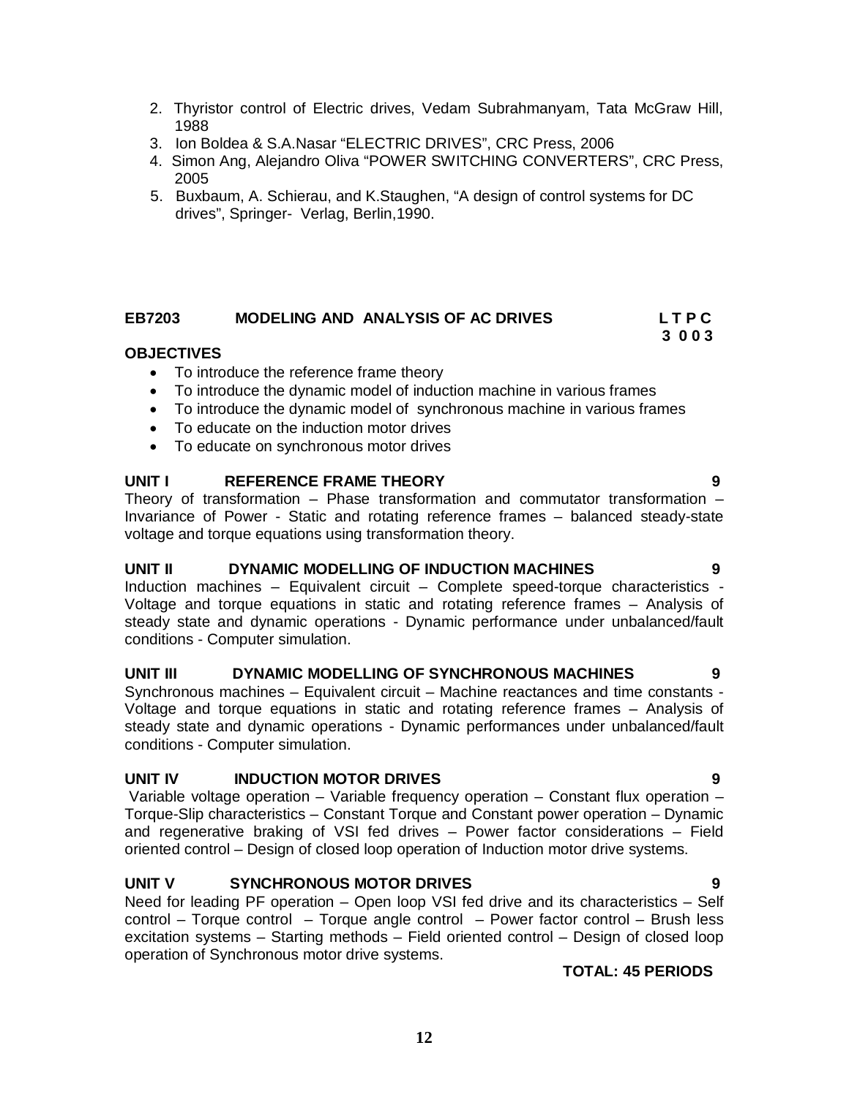- 2. Thyristor control of Electric drives, Vedam Subrahmanyam, Tata McGraw Hill, 1988
- 3. Ion Boldea & S.A.Nasar "ELECTRIC DRIVES", CRC Press, 2006
- 4. Simon Ang, Alejandro Oliva "POWER SWITCHING CONVERTERS", CRC Press, 2005
- 5. Buxbaum, A. Schierau, and K.Staughen, "A design of control systems for DC drives", Springer- Verlag, Berlin,1990.

# EB7203 MODELING AND ANALYSIS OF AC DRIVES L T P C<br>3 0 0 3

 **3 0 0 3**

### **OBJECTIVES**

- To introduce the reference frame theory
- To introduce the dynamic model of induction machine in various frames
- To introduce the dynamic model of synchronous machine in various frames
- To educate on the induction motor drives
- To educate on synchronous motor drives

# **UNIT I REFERENCE FRAME THEORY 9**

Theory of transformation – Phase transformation and commutator transformation – Invariance of Power - Static and rotating reference frames – balanced steady-state voltage and torque equations using transformation theory.

### **UNIT II DYNAMIC MODELLING OF INDUCTION MACHINES 9**

Induction machines – Equivalent circuit – Complete speed-torque characteristics - Voltage and torque equations in static and rotating reference frames – Analysis of steady state and dynamic operations - Dynamic performance under unbalanced/fault conditions - Computer simulation.

# **UNIT III DYNAMIC MODELLING OF SYNCHRONOUS MACHINES 9**

Synchronous machines – Equivalent circuit – Machine reactances and time constants - Voltage and torque equations in static and rotating reference frames – Analysis of steady state and dynamic operations - Dynamic performances under unbalanced/fault conditions - Computer simulation.

### **UNIT IV INDUCTION MOTOR DRIVES 9**

Variable voltage operation – Variable frequency operation – Constant flux operation – Torque-Slip characteristics – Constant Torque and Constant power operation – Dynamic and regenerative braking of VSI fed drives – Power factor considerations – Field oriented control – Design of closed loop operation of Induction motor drive systems.

# **UNIT V SYNCHRONOUS MOTOR DRIVES 9**

Need for leading PF operation – Open loop VSI fed drive and its characteristics – Self control – Torque control – Torque angle control – Power factor control – Brush less excitation systems – Starting methods – Field oriented control – Design of closed loop operation of Synchronous motor drive systems.

### **TOTAL: 45 PERIODS**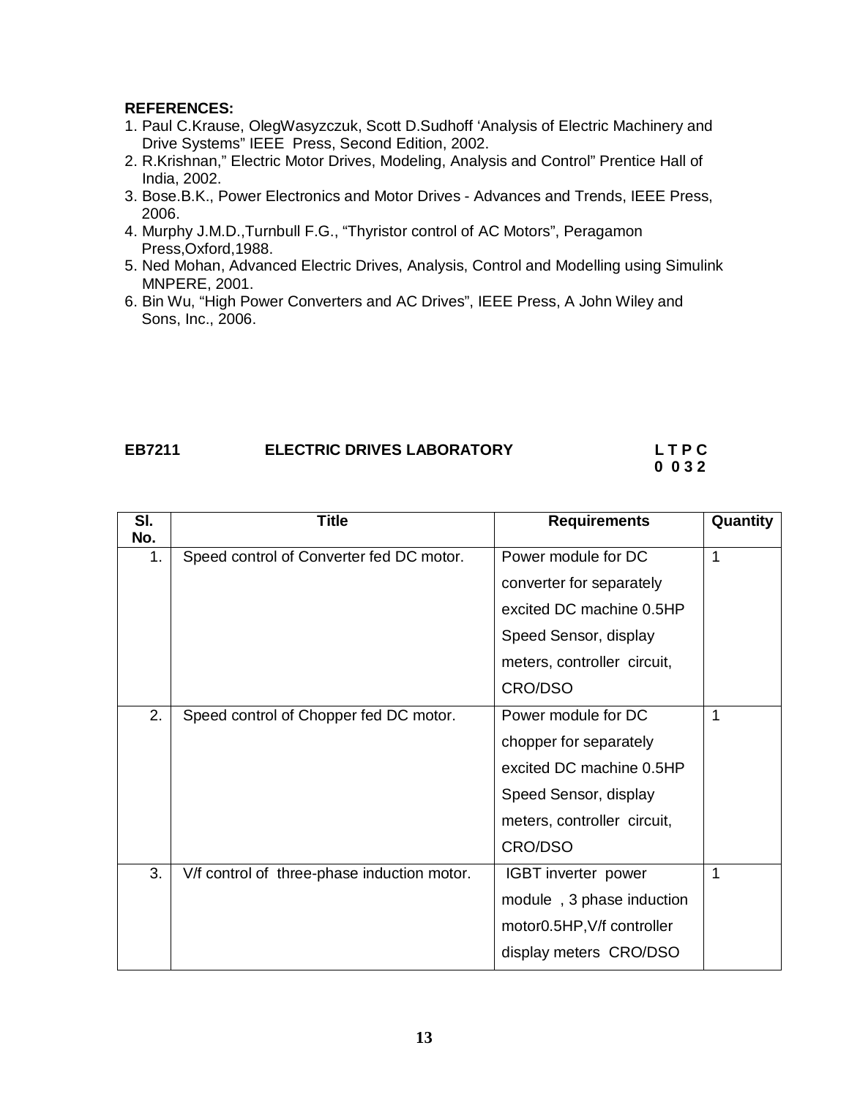#### **REFERENCES:**

- 1. Paul C.Krause, OlegWasyzczuk, Scott D.Sudhoff 'Analysis of Electric Machinery and Drive Systems" IEEE Press, Second Edition, 2002.
- 2. R.Krishnan," Electric Motor Drives, Modeling, Analysis and Control" Prentice Hall of India, 2002.
- 3. Bose.B.K., Power Electronics and Motor Drives Advances and Trends, IEEE Press, 2006.
- 4. Murphy J.M.D.,Turnbull F.G., "Thyristor control of AC Motors", Peragamon Press,Oxford,1988.
- 5. Ned Mohan, Advanced Electric Drives, Analysis, Control and Modelling using Simulink MNPERE, 2001.
- 6. Bin Wu, "High Power Converters and AC Drives", IEEE Press, A John Wiley and Sons, Inc., 2006.

# **EB7211 ELECTRIC DRIVES LABORATORY L T P C**

# **0 0 3 2**

| $\overline{\mathsf{SI}}$ | <b>Title</b>                                | <b>Requirements</b>         | Quantity |
|--------------------------|---------------------------------------------|-----------------------------|----------|
| No.                      |                                             |                             |          |
| 1.                       | Speed control of Converter fed DC motor.    | Power module for DC         | 1        |
|                          |                                             | converter for separately    |          |
|                          |                                             | excited DC machine 0.5HP    |          |
|                          |                                             | Speed Sensor, display       |          |
|                          |                                             | meters, controller circuit, |          |
|                          |                                             | CRO/DSO                     |          |
| 2.                       | Speed control of Chopper fed DC motor.      | Power module for DC         | 1        |
|                          |                                             | chopper for separately      |          |
|                          |                                             | excited DC machine 0.5HP    |          |
|                          |                                             | Speed Sensor, display       |          |
|                          |                                             | meters, controller circuit, |          |
|                          |                                             | <b>CRO/DSO</b>              |          |
| 3.                       | V/f control of three-phase induction motor. | IGBT inverter power         | 1        |
|                          |                                             | module, 3 phase induction   |          |
|                          |                                             | motor0.5HP, V/f controller  |          |
|                          |                                             | display meters CRO/DSO      |          |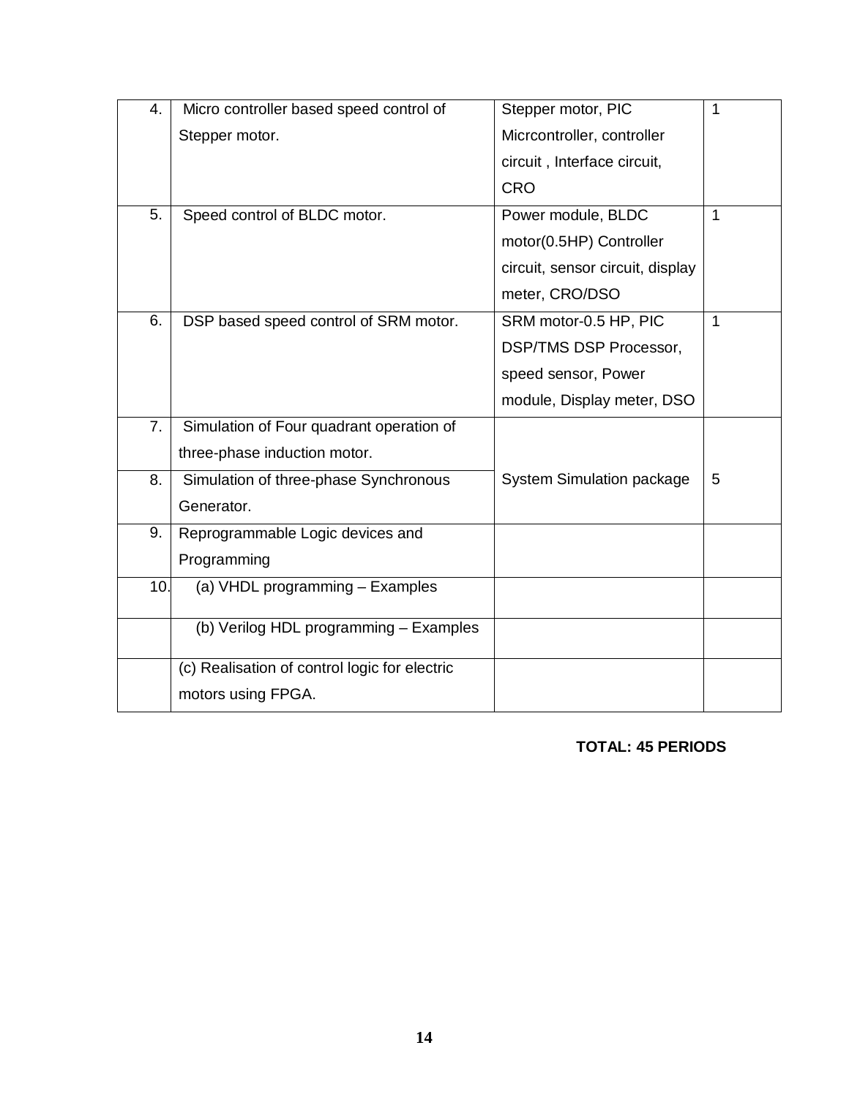| 4.  | Micro controller based speed control of       | Stepper motor, PIC               | 1 |
|-----|-----------------------------------------------|----------------------------------|---|
|     | Stepper motor.                                | Micrcontroller, controller       |   |
|     |                                               | circuit, Interface circuit,      |   |
|     |                                               | <b>CRO</b>                       |   |
| 5.  | Speed control of BLDC motor.                  | Power module, BLDC               | 1 |
|     |                                               | motor(0.5HP) Controller          |   |
|     |                                               | circuit, sensor circuit, display |   |
|     |                                               | meter, CRO/DSO                   |   |
| 6.  | DSP based speed control of SRM motor.         | SRM motor-0.5 HP, PIC            | 1 |
|     |                                               | <b>DSP/TMS DSP Processor,</b>    |   |
|     |                                               | speed sensor, Power              |   |
|     |                                               | module, Display meter, DSO       |   |
| 7.  | Simulation of Four quadrant operation of      |                                  |   |
|     | three-phase induction motor.                  |                                  |   |
| 8.  | Simulation of three-phase Synchronous         | <b>System Simulation package</b> | 5 |
|     | Generator.                                    |                                  |   |
| 9.  | Reprogrammable Logic devices and              |                                  |   |
|     | Programming                                   |                                  |   |
| 10. | (a) VHDL programming - Examples               |                                  |   |
|     |                                               |                                  |   |
|     | (b) Verilog HDL programming - Examples        |                                  |   |
|     | (c) Realisation of control logic for electric |                                  |   |
|     | motors using FPGA.                            |                                  |   |

 **TOTAL: 45 PERIODS**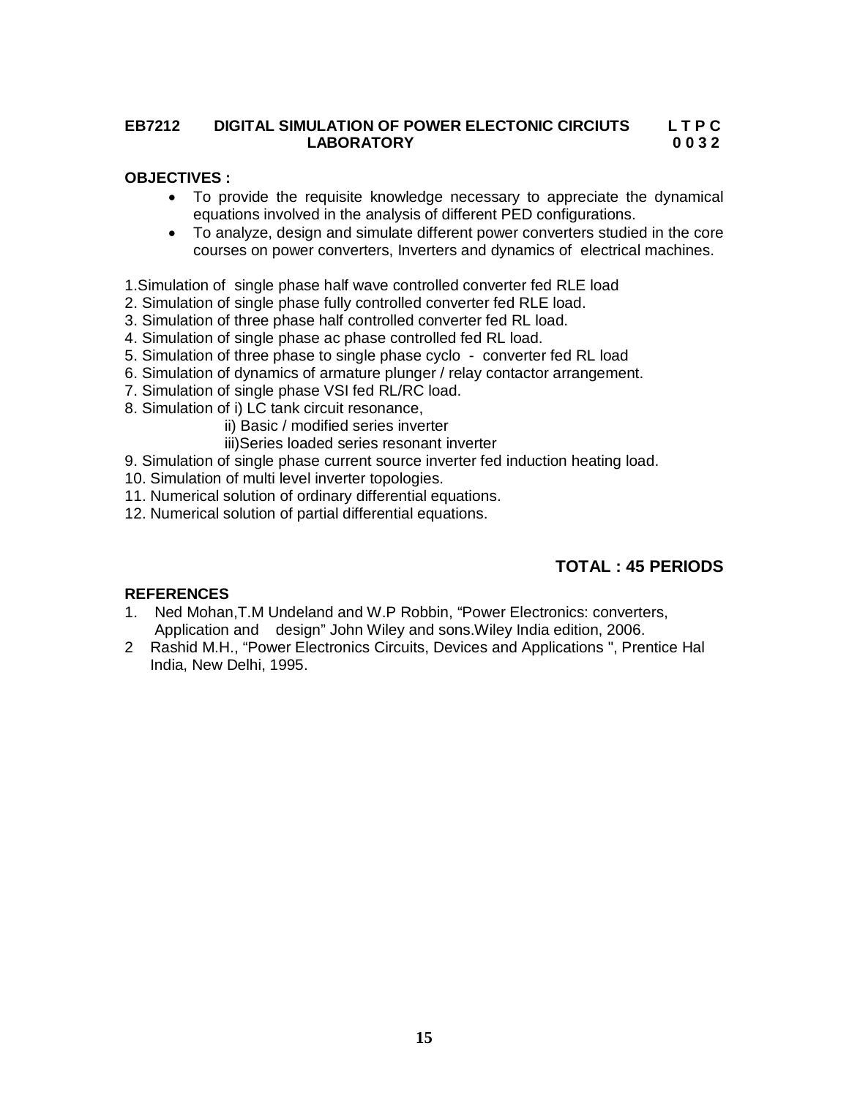# **EB7212 DIGITAL SIMULATION OF POWER ELECTONIC CIRCIUTS L T P C LABORATORY**

### **OBJECTIVES :**

- To provide the requisite knowledge necessary to appreciate the dynamical equations involved in the analysis of different PED configurations.
- To analyze, design and simulate different power converters studied in the core courses on power converters, Inverters and dynamics of electrical machines.

1.Simulation of single phase half wave controlled converter fed RLE load

- 2. Simulation of single phase fully controlled converter fed RLE load.
- 3. Simulation of three phase half controlled converter fed RL load.
- 4. Simulation of single phase ac phase controlled fed RL load.
- 5. Simulation of three phase to single phase cyclo converter fed RL load
- 6. Simulation of dynamics of armature plunger / relay contactor arrangement.
- 7. Simulation of single phase VSI fed RL/RC load.
- 8. Simulation of i) LC tank circuit resonance,

ii) Basic / modified series inverter

iii)Series loaded series resonant inverter

9. Simulation of single phase current source inverter fed induction heating load.

- 10. Simulation of multi level inverter topologies.
- 11. Numerical solution of ordinary differential equations.
- 12. Numerical solution of partial differential equations.

# **TOTAL : 45 PERIODS**

### **REFERENCES**

- 1. Ned Mohan,T.M Undeland and W.P Robbin, "Power Electronics: converters, Application and design" John Wiley and sons.Wiley India edition, 2006.
- 2 Rashid M.H., "Power Electronics Circuits, Devices and Applications ", Prentice Hal India, New Delhi, 1995.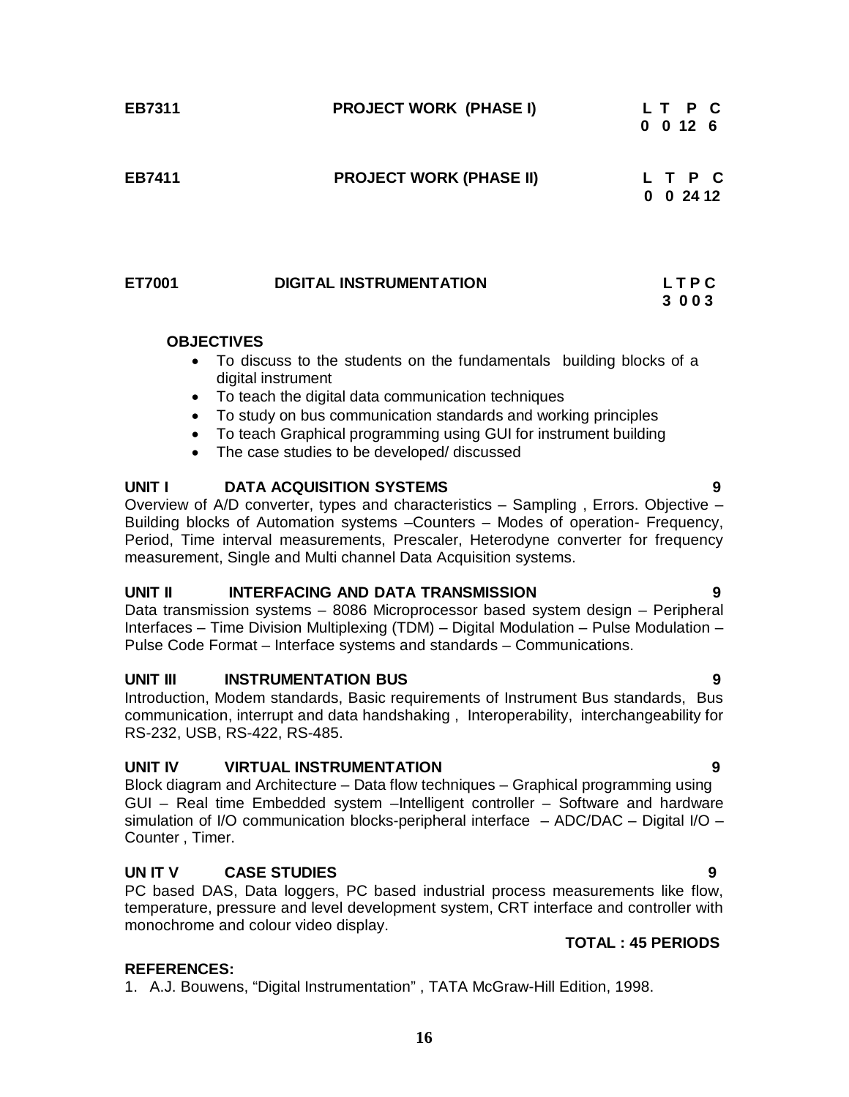| EB7311 | <b>PROJECT WORK (PHASE I)</b>  | LT P C<br>$0$ 0 12 6   |
|--------|--------------------------------|------------------------|
| EB7411 | <b>PROJECT WORK (PHASE II)</b> | L T P C<br>0.2412<br>0 |
| ET7001 | <b>DIGITAL INSTRUMENTATION</b> | LTPC<br>3 0 0 3        |

#### **OBJECTIVES**

- To discuss to the students on the fundamentals building blocks of a digital instrument
- To teach the digital data communication techniques
- To study on bus communication standards and working principles
- To teach Graphical programming using GUI for instrument building
- The case studies to be developed/ discussed

### **UNIT I DATA ACQUISITION SYSTEMS 9**

Overview of A/D converter, types and characteristics – Sampling , Errors. Objective – Building blocks of Automation systems –Counters – Modes of operation- Frequency, Period, Time interval measurements, Prescaler, Heterodyne converter for frequency measurement, Single and Multi channel Data Acquisition systems.

### **UNIT II INTERFACING AND DATA TRANSMISSION 9**

Data transmission systems – 8086 Microprocessor based system design – Peripheral Interfaces – Time Division Multiplexing (TDM) – Digital Modulation – Pulse Modulation – Pulse Code Format – Interface systems and standards – Communications.

# **UNIT III** INSTRUMENTATION BUS 9

Introduction, Modem standards, Basic requirements of Instrument Bus standards, Bus communication, interrupt and data handshaking , Interoperability, interchangeability for RS-232, USB, RS-422, RS-485.

### **UNIT IV VIRTUAL INSTRUMENTATION 9**

Block diagram and Architecture – Data flow techniques – Graphical programming using GUI – Real time Embedded system –Intelligent controller – Software and hardware simulation of I/O communication blocks-peripheral interface – ADC/DAC – Digital I/O – Counter , Timer.

# **UN IT V CASE STUDIES 9**

PC based DAS, Data loggers, PC based industrial process measurements like flow, temperature, pressure and level development system, CRT interface and controller with monochrome and colour video display.

# **TOTAL : 45 PERIODS**

# **REFERENCES:**

1. A.J. Bouwens, "Digital Instrumentation" , TATA McGraw-Hill Edition, 1998.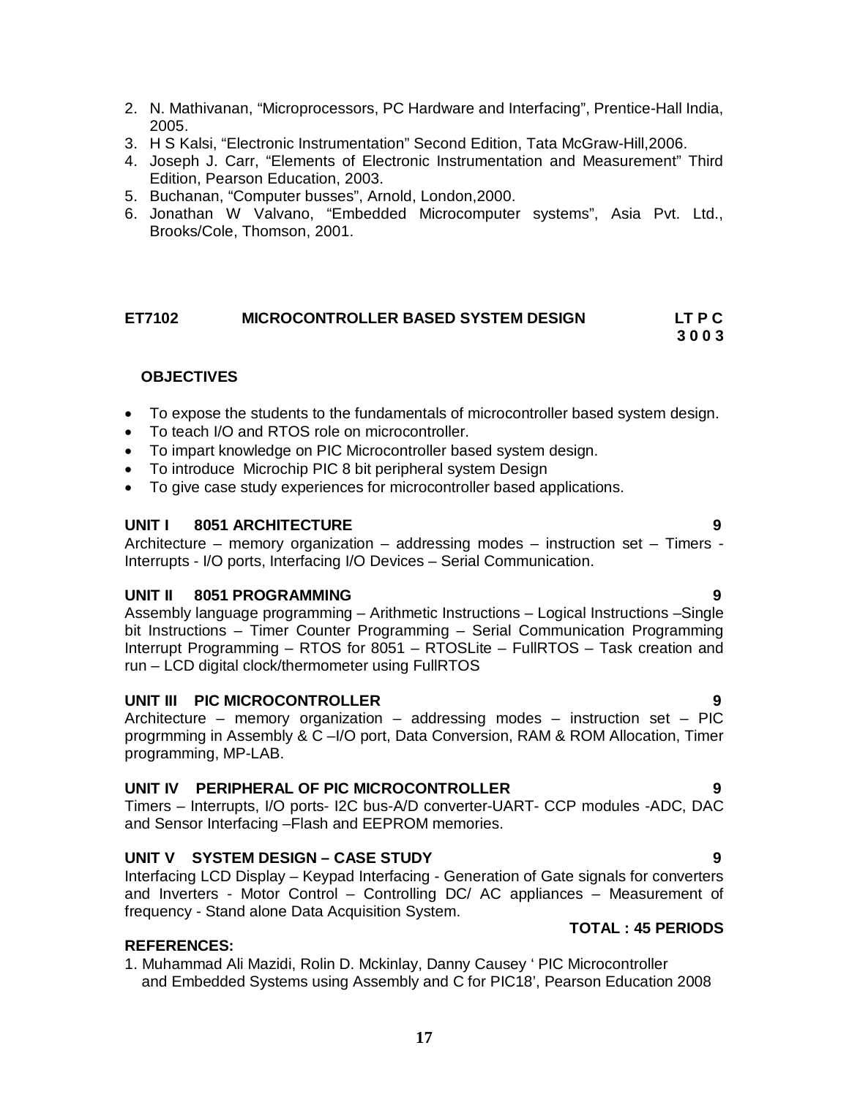2. N. Mathivanan, "Microprocessors, PC Hardware and Interfacing", Prentice-Hall India,

- 4. Joseph J. Carr, "Elements of Electronic Instrumentation and Measurement" Third Edition, Pearson Education, 2003.
- 5. Buchanan, "Computer busses", Arnold, London,2000.
- 6. Jonathan W Valvano, "Embedded Microcomputer systems", Asia Pvt. Ltd., Brooks/Cole, Thomson, 2001.

#### **ET7102 MICROCONTROLLER BASED SYSTEM DESIGN LT P C 3 0 0 3**

# **OBJECTIVES**

- To expose the students to the fundamentals of microcontroller based system design.
- To teach I/O and RTOS role on microcontroller.
- To impart knowledge on PIC Microcontroller based system design.
- To introduce Microchip PIC 8 bit peripheral system Design
- To give case study experiences for microcontroller based applications.

#### **UNIT I 8051 ARCHITECTURE 9**

Architecture – memory organization – addressing modes – instruction set – Timers - Interrupts - I/O ports, Interfacing I/O Devices – Serial Communication.

#### **UNIT II 8051 PROGRAMMING 9**

Assembly language programming – Arithmetic Instructions – Logical Instructions –Single bit Instructions – Timer Counter Programming – Serial Communication Programming Interrupt Programming – RTOS for 8051 – RTOSLite – FullRTOS – Task creation and run – LCD digital clock/thermometer using FullRTOS

#### **UNIT III PIC MICROCONTROLLER 9**

Architecture – memory organization – addressing modes – instruction set – PIC progrmming in Assembly & C –I/O port, Data Conversion, RAM & ROM Allocation, Timer programming, MP-LAB.

#### **UNIT IV PERIPHERAL OF PIC MICROCONTROLLER 9**

Timers – Interrupts, I/O ports- I2C bus-A/D converter-UART- CCP modules -ADC, DAC and Sensor Interfacing –Flash and EEPROM memories.

#### **UNIT V SYSTEM DESIGN – CASE STUDY 9**

Interfacing LCD Display – Keypad Interfacing - Generation of Gate signals for converters and Inverters - Motor Control – Controlling DC/ AC appliances – Measurement of frequency - Stand alone Data Acquisition System.

#### **TOTAL : 45 PERIODS**

# **REFERENCES:**

1. Muhammad Ali Mazidi, Rolin D. Mckinlay, Danny Causey ' PIC Microcontroller and Embedded Systems using Assembly and C for PIC18', Pearson Education 2008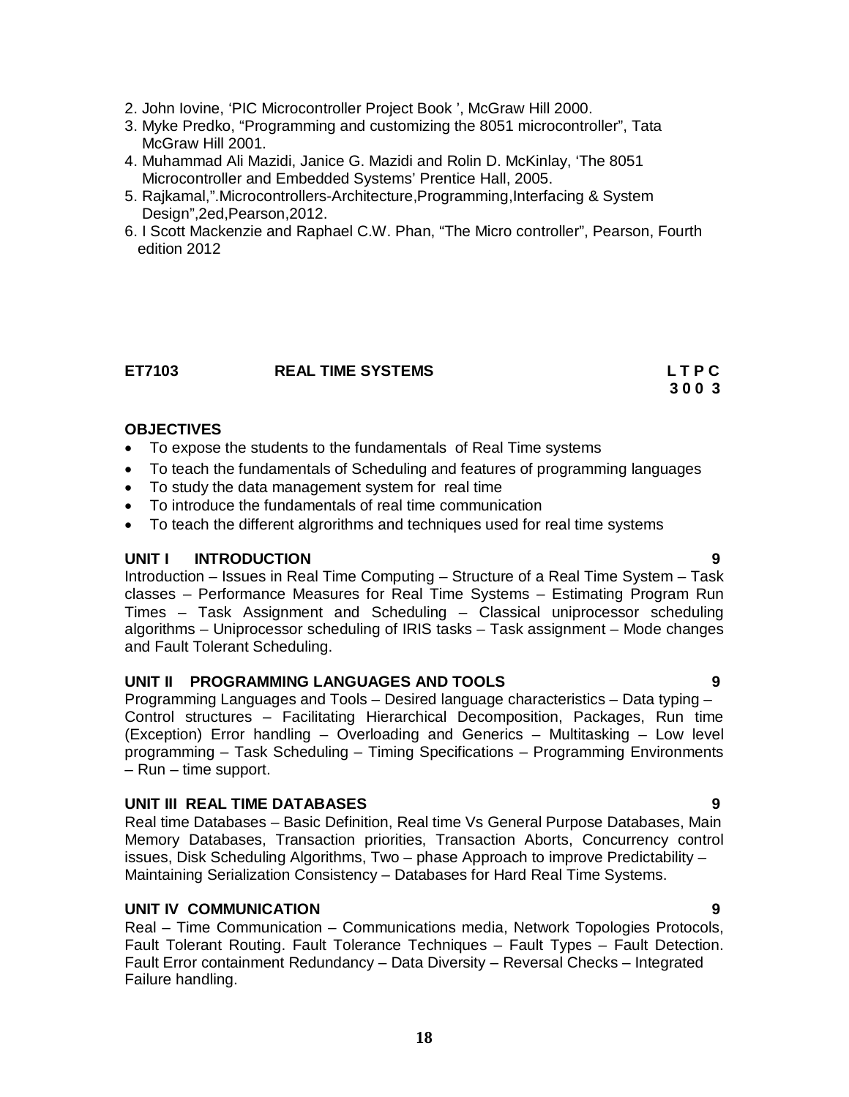- 2. John Iovine, 'PIC Microcontroller Project Book ', McGraw Hill 2000.
- 3. Myke Predko, "Programming and customizing the 8051 microcontroller", Tata McGraw Hill 2001.
- 4. Muhammad Ali Mazidi, Janice G. Mazidi and Rolin D. McKinlay, 'The 8051 Microcontroller and Embedded Systems' Prentice Hall, 2005.
- 5. Rajkamal,".Microcontrollers-Architecture,Programming,Interfacing & System Design",2ed,Pearson,2012.
- 6. I Scott Mackenzie and Raphael C.W. Phan, "The Micro controller", Pearson, Fourth edition 2012

#### **ET7103 REAL TIME SYSTEMS L T P C**

 **3 0 0 3**

#### **OBJECTIVES**

- To expose the students to the fundamentals of Real Time systems
- To teach the fundamentals of Scheduling and features of programming languages
- To study the data management system for real time
- To introduce the fundamentals of real time communication
- To teach the different algrorithms and techniques used for real time systems

#### **UNIT I INTRODUCTION 9**

Introduction – Issues in Real Time Computing – Structure of a Real Time System – Task classes – Performance Measures for Real Time Systems – Estimating Program Run Times – Task Assignment and Scheduling – Classical uniprocessor scheduling algorithms – Uniprocessor scheduling of IRIS tasks – Task assignment – Mode changes and Fault Tolerant Scheduling.

#### **UNIT II PROGRAMMING LANGUAGES AND TOOLS 9**

Programming Languages and Tools – Desired language characteristics – Data typing – Control structures – Facilitating Hierarchical Decomposition, Packages, Run time (Exception) Error handling – Overloading and Generics – Multitasking – Low level programming – Task Scheduling – Timing Specifications – Programming Environments – Run – time support.

#### **UNIT III REAL TIME DATABASES 9**

Real time Databases – Basic Definition, Real time Vs General Purpose Databases, Main Memory Databases, Transaction priorities, Transaction Aborts, Concurrency control issues, Disk Scheduling Algorithms, Two – phase Approach to improve Predictability – Maintaining Serialization Consistency – Databases for Hard Real Time Systems.

### **UNIT IV COMMUNICATION 9**

Real – Time Communication – Communications media, Network Topologies Protocols, Fault Tolerant Routing. Fault Tolerance Techniques – Fault Types – Fault Detection. Fault Error containment Redundancy – Data Diversity – Reversal Checks – Integrated Failure handling.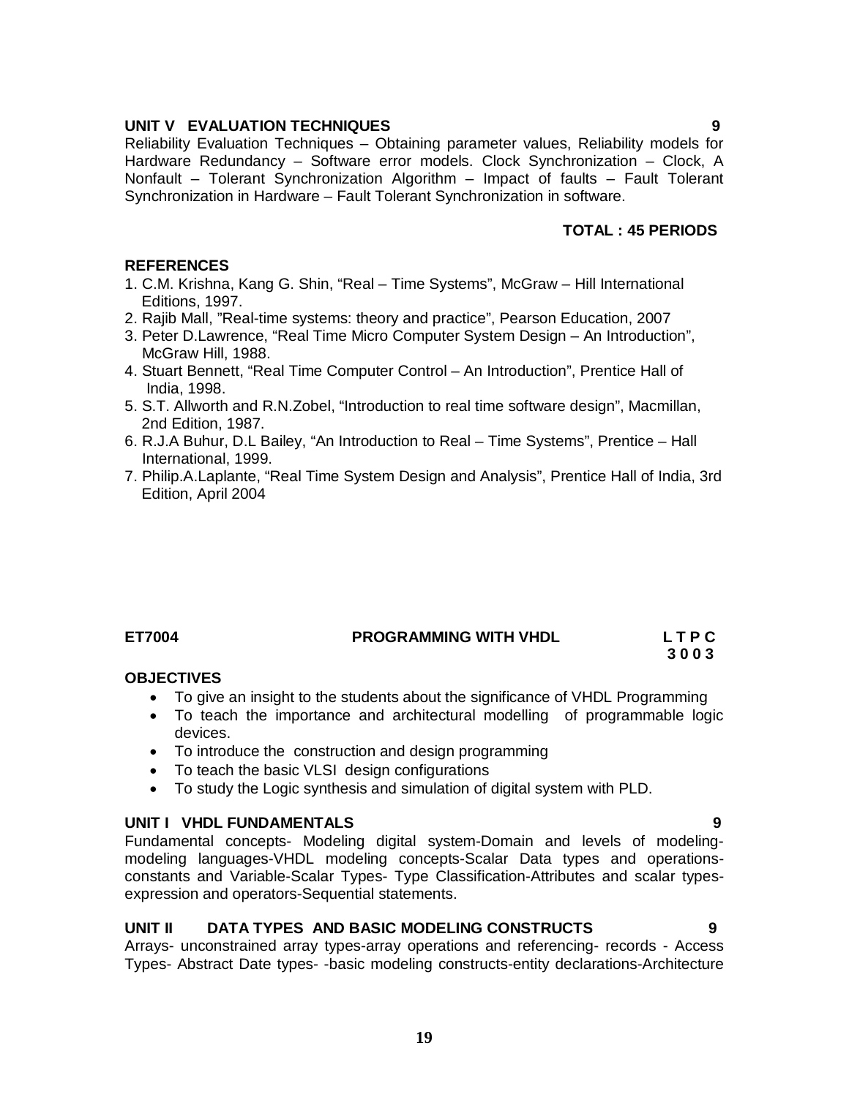#### **UNIT V EVALUATION TECHNIQUES 9**

Reliability Evaluation Techniques – Obtaining parameter values, Reliability models for Hardware Redundancy – Software error models. Clock Synchronization – Clock, A Nonfault – Tolerant Synchronization Algorithm – Impact of faults – Fault Tolerant Synchronization in Hardware – Fault Tolerant Synchronization in software.

#### **TOTAL : 45 PERIODS**

#### **REFERENCES**

- 1. C.M. Krishna, Kang G. Shin, "Real Time Systems", McGraw Hill International Editions, 1997.
- 2. Rajib Mall, "Real-time systems: theory and practice", Pearson Education, 2007
- 3. Peter D.Lawrence, "Real Time Micro Computer System Design An Introduction", McGraw Hill, 1988.
- 4. Stuart Bennett, "Real Time Computer Control An Introduction", Prentice Hall of India, 1998.
- 5. S.T. Allworth and R.N.Zobel, "Introduction to real time software design", Macmillan, 2nd Edition, 1987.
- 6. R.J.A Buhur, D.L Bailey, "An Introduction to Real Time Systems", Prentice Hall International, 1999.
- 7. Philip.A.Laplante, "Real Time System Design and Analysis", Prentice Hall of India, 3rd Edition, April 2004

### **ET7004 PROGRAMMING WITH VHDL L T P C**

# **3 0 0 3**

### **OBJECTIVES**

- To give an insight to the students about the significance of VHDL Programming
- To teach the importance and architectural modelling of programmable logic devices.
- To introduce the construction and design programming
- To teach the basic VLSI design configurations
- To study the Logic synthesis and simulation of digital system with PLD.

### **UNIT I VHDL FUNDAMENTALS 9**

Fundamental concepts- Modeling digital system-Domain and levels of modelingmodeling languages-VHDL modeling concepts-Scalar Data types and operationsconstants and Variable-Scalar Types- Type Classification-Attributes and scalar typesexpression and operators-Sequential statements.

### **UNIT II DATA TYPES AND BASIC MODELING CONSTRUCTS 9**

Arrays- unconstrained array types-array operations and referencing- records - Access Types- Abstract Date types- -basic modeling constructs-entity declarations-Architecture

**19**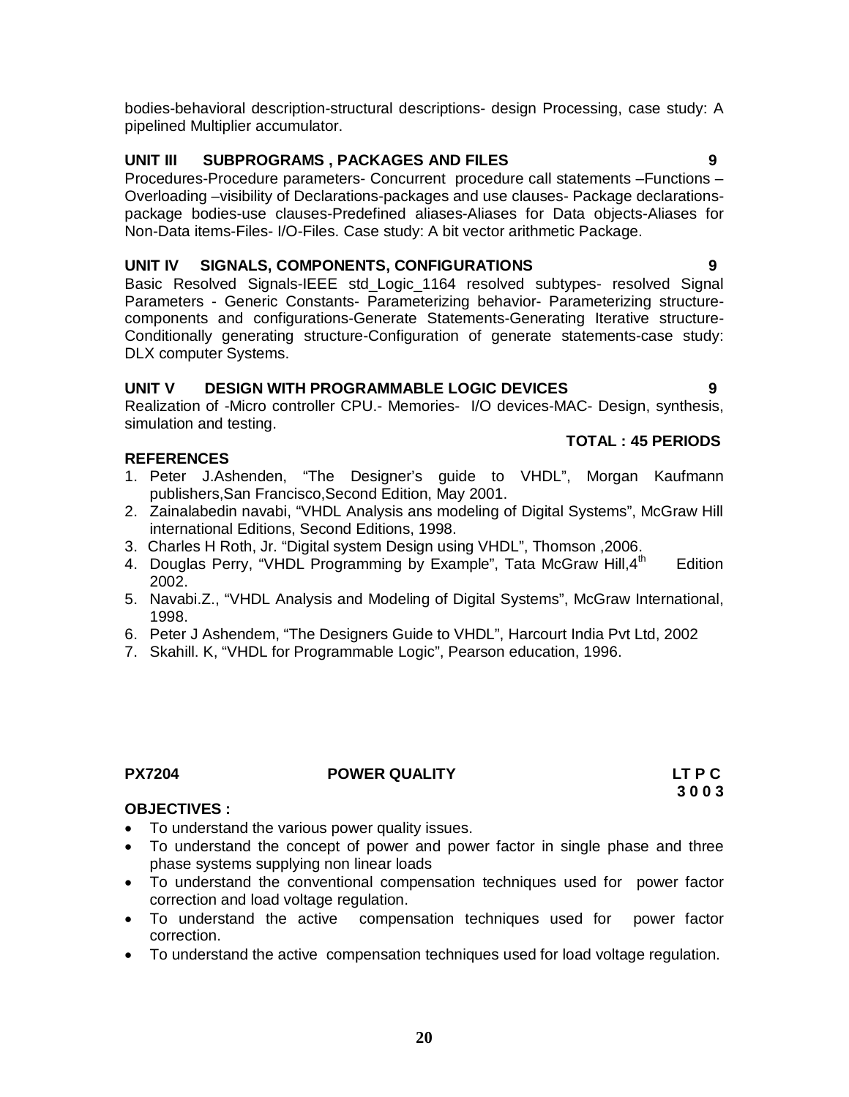bodies-behavioral description-structural descriptions- design Processing, case study: A pipelined Multiplier accumulator.

# **UNIT III SUBPROGRAMS , PACKAGES AND FILES 9**

Procedures-Procedure parameters- Concurrent procedure call statements –Functions – Overloading –visibility of Declarations-packages and use clauses- Package declarationspackage bodies-use clauses-Predefined aliases-Aliases for Data objects-Aliases for Non-Data items-Files- I/O-Files. Case study: A bit vector arithmetic Package.

### **UNIT IV SIGNALS, COMPONENTS, CONFIGURATIONS 9**

Basic Resolved Signals-IEEE std\_Logic\_1164 resolved subtypes- resolved Signal Parameters - Generic Constants- Parameterizing behavior- Parameterizing structurecomponents and configurations-Generate Statements-Generating Iterative structure-Conditionally generating structure-Configuration of generate statements-case study: DLX computer Systems.

# **UNIT V DESIGN WITH PROGRAMMABLE LOGIC DEVICES 9**

Realization of -Micro controller CPU.- Memories- I/O devices-MAC- Design, synthesis, simulation and testing.

### **REFERENCES**

- 1. Peter J.Ashenden, "The Designer's guide to VHDL", Morgan Kaufmann publishers,San Francisco,Second Edition, May 2001.
- 2. Zainalabedin navabi, "VHDL Analysis ans modeling of Digital Systems", McGraw Hill international Editions, Second Editions, 1998.
- 3. Charles H Roth, Jr. "Digital system Design using VHDL", Thomson ,2006.
- 4. Douglas Perry, "VHDL Programming by Example", Tata McGraw Hill, 4<sup>th</sup> **Edition** 2002.
- 5. Navabi.Z., "VHDL Analysis and Modeling of Digital Systems", McGraw International, 1998.
- 6. Peter J Ashendem, "The Designers Guide to VHDL", Harcourt India Pvt Ltd, 2002
- 7. Skahill. K, "VHDL for Programmable Logic", Pearson education, 1996.

#### **PX7204 POWER QUALITY LT P C**

### **OBJECTIVES :**

- To understand the various power quality issues.
- To understand the concept of power and power factor in single phase and three phase systems supplying non linear loads
- To understand the conventional compensation techniques used for power factor correction and load voltage regulation.
- To understand the active compensation techniques used for power factor correction.
- To understand the active compensation techniques used for load voltage regulation.

### **TOTAL : 45 PERIODS**

# **3 0 0 3**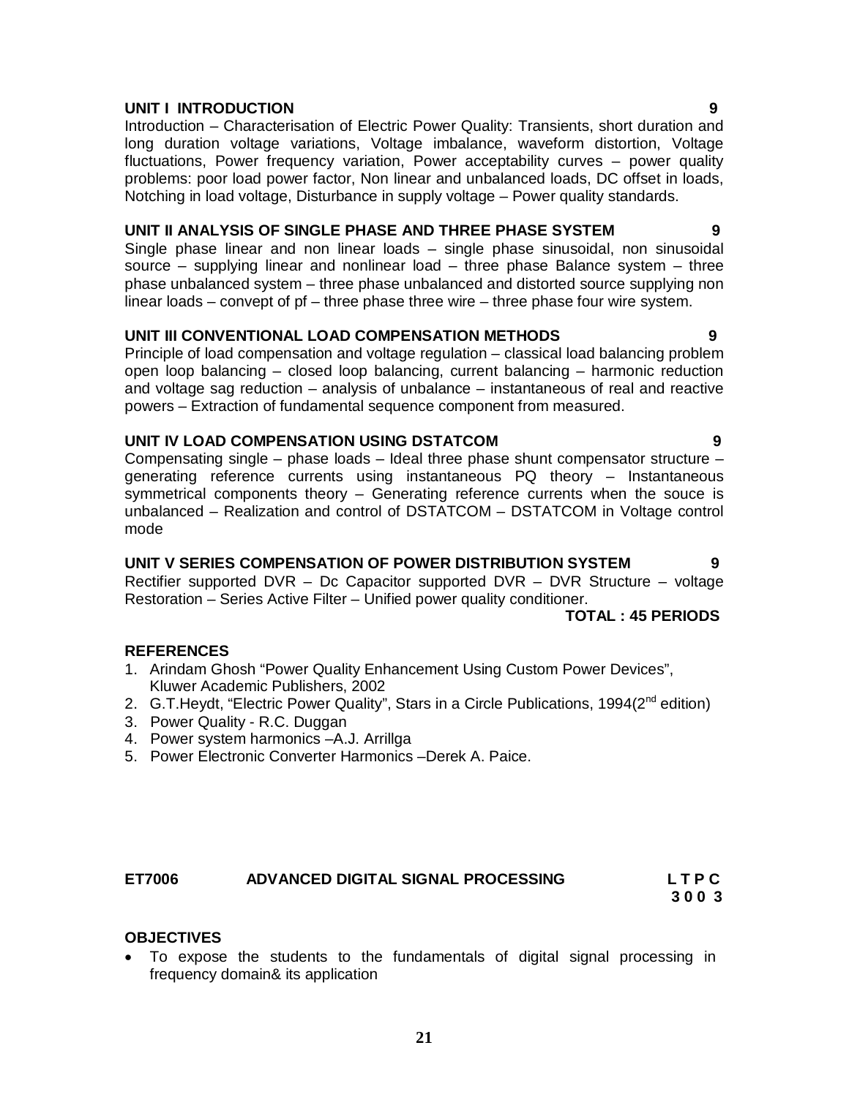# **UNIT I INTRODUCTION 9**

Introduction – Characterisation of Electric Power Quality: Transients, short duration and long duration voltage variations, Voltage imbalance, waveform distortion, Voltage fluctuations, Power frequency variation, Power acceptability curves – power quality problems: poor load power factor, Non linear and unbalanced loads, DC offset in loads, Notching in load voltage, Disturbance in supply voltage – Power quality standards.

# **UNIT II ANALYSIS OF SINGLE PHASE AND THREE PHASE SYSTEM 9**

Single phase linear and non linear loads – single phase sinusoidal, non sinusoidal source – supplying linear and nonlinear load – three phase Balance system – three phase unbalanced system – three phase unbalanced and distorted source supplying non linear loads – convept of pf – three phase three wire – three phase four wire system.

### **UNIT III CONVENTIONAL LOAD COMPENSATION METHODS 9**

Principle of load compensation and voltage regulation – classical load balancing problem open loop balancing – closed loop balancing, current balancing – harmonic reduction and voltage sag reduction – analysis of unbalance – instantaneous of real and reactive powers – Extraction of fundamental sequence component from measured.

#### **UNIT IV LOAD COMPENSATION USING DSTATCOM 9**

Compensating single – phase loads – Ideal three phase shunt compensator structure – generating reference currents using instantaneous PQ theory – Instantaneous symmetrical components theory – Generating reference currents when the souce is unbalanced – Realization and control of DSTATCOM – DSTATCOM in Voltage control mode

#### **UNIT V SERIES COMPENSATION OF POWER DISTRIBUTION SYSTEM 9**

Rectifier supported DVR – Dc Capacitor supported DVR – DVR Structure – voltage Restoration – Series Active Filter – Unified power quality conditioner.

#### **TOTAL : 45 PERIODS**

### **REFERENCES**

- 1. Arindam Ghosh "Power Quality Enhancement Using Custom Power Devices", Kluwer Academic Publishers, 2002
- 2. G.T. Heydt, "Electric Power Quality", Stars in a Circle Publications, 1994(2<sup>nd</sup> edition)
- 3. Power Quality R.C. Duggan
- 4. Power system harmonics –A.J. Arrillga
- 5. Power Electronic Converter Harmonics –Derek A. Paice.

# **ET7006 ADVANCED DIGITAL SIGNAL PROCESSING L T P C**

 **3 0 0 3**

### **OBJECTIVES**

 To expose the students to the fundamentals of digital signal processing in frequency domain& its application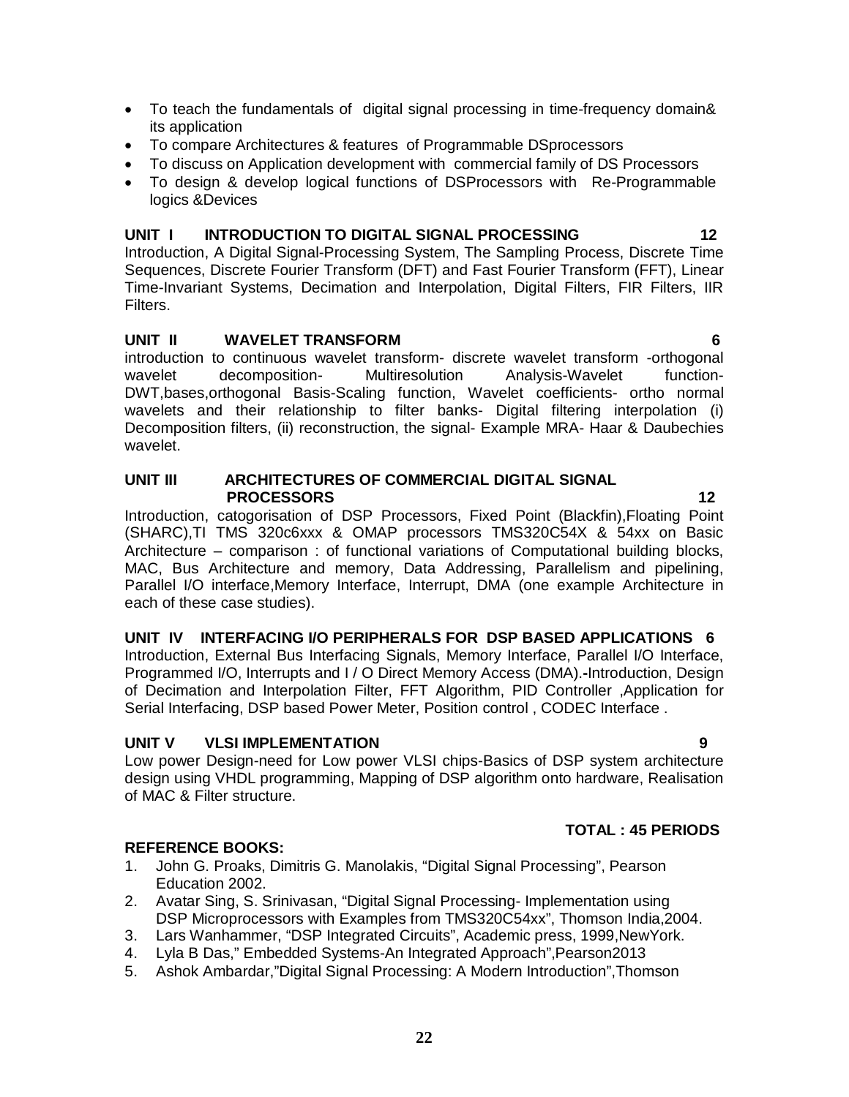- To teach the fundamentals of digital signal processing in time-frequency domain& its application To compare Architectures & features of Programmable DSprocessors
- To discuss on Application development with commercial family of DS Processors
- To design & develop logical functions of DSProcessors with Re-Programmable logics &Devices

#### **UNIT I INTRODUCTION TO DIGITAL SIGNAL PROCESSING 12**

Introduction, A Digital Signal-Processing System, The Sampling Process, Discrete Time Sequences, Discrete Fourier Transform (DFT) and Fast Fourier Transform (FFT), Linear Time-Invariant Systems, Decimation and Interpolation, Digital Filters, FIR Filters, IIR Filters.

#### **UNIT II WAVELET TRANSFORM 6**

introduction to continuous wavelet transform- discrete wavelet transform -orthogonal wavelet decomposition- Multiresolution Analysis-Wavelet function-DWT,bases,orthogonal Basis-Scaling function, Wavelet coefficients- ortho normal wavelets and their relationship to filter banks- Digital filtering interpolation (i) Decomposition filters, (ii) reconstruction, the signal- Example MRA- Haar & Daubechies wavelet.

#### **UNIT III ARCHITECTURES OF COMMERCIAL DIGITAL SIGNAL PROCESSORS 12**

Introduction, catogorisation of DSP Processors, Fixed Point (Blackfin),Floating Point (SHARC),TI TMS 320c6xxx & OMAP processors TMS320C54X & 54xx on Basic Architecture – comparison : of functional variations of Computational building blocks, MAC, Bus Architecture and memory, Data Addressing, Parallelism and pipelining, Parallel I/O interface,Memory Interface, Interrupt, DMA (one example Architecture in each of these case studies).

### **UNIT IV INTERFACING I/O PERIPHERALS FOR DSP BASED APPLICATIONS 6**

Introduction, External Bus Interfacing Signals, Memory Interface, Parallel I/O Interface, Programmed I/O, Interrupts and I / O Direct Memory Access (DMA).**-**Introduction, Design of Decimation and Interpolation Filter, FFT Algorithm, PID Controller ,Application for Serial Interfacing, DSP based Power Meter, Position control , CODEC Interface .

### **UNIT V VLSI IMPLEMENTATION 9**

Low power Design-need for Low power VLSI chips-Basics of DSP system architecture design using VHDL programming, Mapping of DSP algorithm onto hardware, Realisation of MAC & Filter structure.

# **TOTAL : 45 PERIODS**

### **REFERENCE BOOKS:**

- 1. John G. Proaks, Dimitris G. Manolakis, "Digital Signal Processing", Pearson Education 2002.
- 2. Avatar Sing, S. Srinivasan, "Digital Signal Processing- Implementation using DSP Microprocessors with Examples from TMS320C54xx", Thomson India,2004.
- 3. Lars Wanhammer, "DSP Integrated Circuits", Academic press, 1999,NewYork.
- 4. Lyla B Das," Embedded Systems-An Integrated Approach",Pearson2013
- 5. Ashok Ambardar,"Digital Signal Processing: A Modern Introduction",Thomson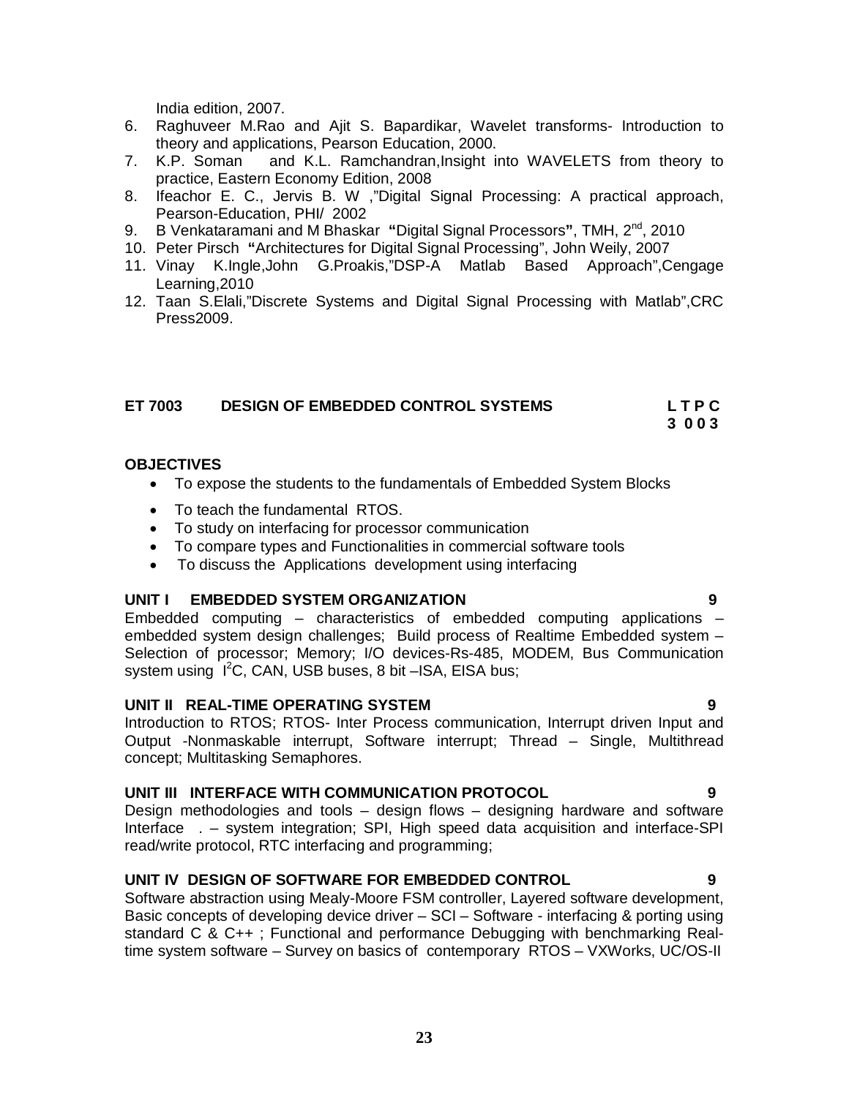India edition, 2007.

- 6. Raghuveer M.Rao and Ajit S. Bapardikar, Wavelet transforms- Introduction to theory and applications, Pearson Education, 2000.
- 7. K.P. Soman and K.L. Ramchandran,Insight into WAVELETS from theory to practice, Eastern Economy Edition, 2008
- 8. Ifeachor E. C., Jervis B. W ,"Digital Signal Processing: A practical approach, Pearson-Education, PHI/ 2002
- 9. B Venkataramani and M Bhaskar **"**Digital Signal Processors**"**, TMH, 2nd, 2010
- 10. Peter Pirsch **"**Architectures for Digital Signal Processing", John Weily, 2007
- 11. Vinay K.Ingle,John G.Proakis,"DSP-A Matlab Based Approach",Cengage Learning,2010
- 12. Taan S.Elali,"Discrete Systems and Digital Signal Processing with Matlab",CRC Press2009.

# **ET 7003 DESIGN OF EMBEDDED CONTROL SYSTEMS L T P C**

 **3 0 0 3**

#### **OBJECTIVES**

- To expose the students to the fundamentals of Embedded System Blocks
- To teach the fundamental RTOS.
- To study on interfacing for processor communication
- To compare types and Functionalities in commercial software tools
- To discuss the Applications development using interfacing

#### **UNIT I EMBEDDED SYSTEM ORGANIZATION 9**

Embedded computing – characteristics of embedded computing applications – embedded system design challenges; Build process of Realtime Embedded system – Selection of processor; Memory; I/O devices-Rs-485, MODEM, Bus Communication system using  $I^2C$ , CAN, USB buses, 8 bit  $-ISA$ , EISA bus;

#### **UNIT II REAL-TIME OPERATING SYSTEM 9**

Introduction to RTOS; RTOS- Inter Process communication, Interrupt driven Input and Output -Nonmaskable interrupt, Software interrupt; Thread – Single, Multithread concept; Multitasking Semaphores.

# **UNIT III INTERFACE WITH COMMUNICATION PROTOCOL 9**

Design methodologies and tools – design flows – designing hardware and software Interface . – system integration; SPI, High speed data acquisition and interface-SPI read/write protocol, RTC interfacing and programming;

### **UNIT IV DESIGN OF SOFTWARE FOR EMBEDDED CONTROL 9**

Software abstraction using Mealy-Moore FSM controller, Layered software development, Basic concepts of developing device driver – SCI – Software - interfacing & porting using standard C & C++ ; Functional and performance Debugging with benchmarking Realtime system software – Survey on basics of contemporary RTOS – VXWorks, UC/OS-II

#### **23**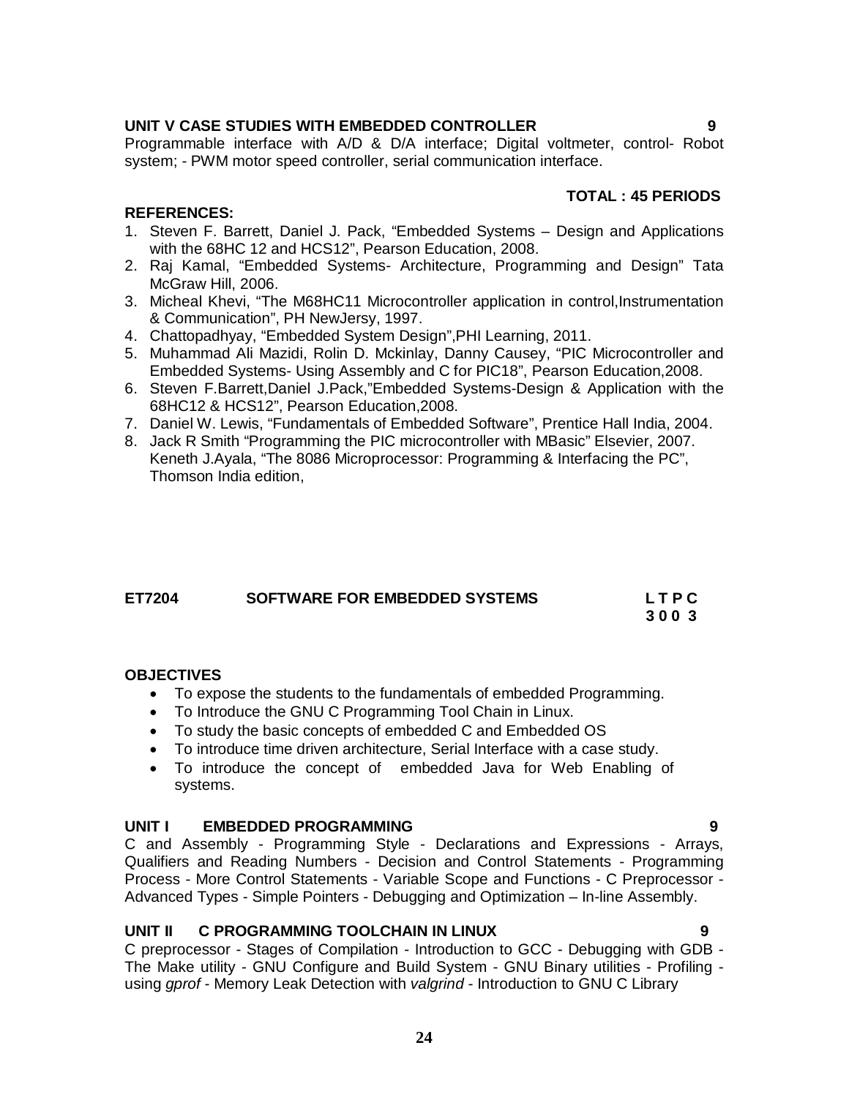# **UNIT V CASE STUDIES WITH EMBEDDED CONTROLLER 9**

Programmable interface with A/D & D/A interface; Digital voltmeter, control- Robot system; - PWM motor speed controller, serial communication interface.

# **TOTAL : 45 PERIODS**

# **REFERENCES:**

- 1. Steven F. Barrett, Daniel J. Pack, "Embedded Systems Design and Applications with the 68HC 12 and HCS12", Pearson Education, 2008.
- 2. Raj Kamal, "Embedded Systems- Architecture, Programming and Design" Tata McGraw Hill, 2006.
- 3. Micheal Khevi, "The M68HC11 Microcontroller application in control,Instrumentation & Communication", PH NewJersy, 1997.
- 4. Chattopadhyay, "Embedded System Design",PHI Learning, 2011.
- 5. Muhammad Ali Mazidi, Rolin D. Mckinlay, Danny Causey, "PIC Microcontroller and Embedded Systems- Using Assembly and C for PIC18", Pearson Education,2008.
- 6. Steven F.Barrett,Daniel J.Pack,"Embedded Systems-Design & Application with the 68HC12 & HCS12", Pearson Education,2008.
- 7. Daniel W. Lewis, "Fundamentals of Embedded Software", Prentice Hall India, 2004.
- 8. Jack R Smith "Programming the PIC microcontroller with MBasic" Elsevier, 2007. Keneth J.Ayala, "The 8086 Microprocessor: Programming & Interfacing the PC", Thomson India edition,

| ET7204 | <b>SOFTWARE FOR EMBEDDED SYSTEMS</b> | LTPC |
|--------|--------------------------------------|------|
|        |                                      | 3003 |

### **OBJECTIVES**

- To expose the students to the fundamentals of embedded Programming.
- To Introduce the GNU C Programming Tool Chain in Linux.
- To study the basic concepts of embedded C and Embedded OS
- To introduce time driven architecture, Serial Interface with a case study.
- To introduce the concept of embedded Java for Web Enabling of systems.

### **UNIT I EMBEDDED PROGRAMMING 9**

C and Assembly - Programming Style - Declarations and Expressions - Arrays, Qualifiers and Reading Numbers - Decision and Control Statements - Programming Process - More Control Statements - Variable Scope and Functions - C Preprocessor - Advanced Types - Simple Pointers - Debugging and Optimization – In-line Assembly.

# **UNIT II C PROGRAMMING TOOLCHAIN IN LINUX 9**

C preprocessor - Stages of Compilation - Introduction to GCC - Debugging with GDB - The Make utility - GNU Configure and Build System - GNU Binary utilities - Profiling using *gprof* - Memory Leak Detection with *valgrind* - Introduction to GNU C Library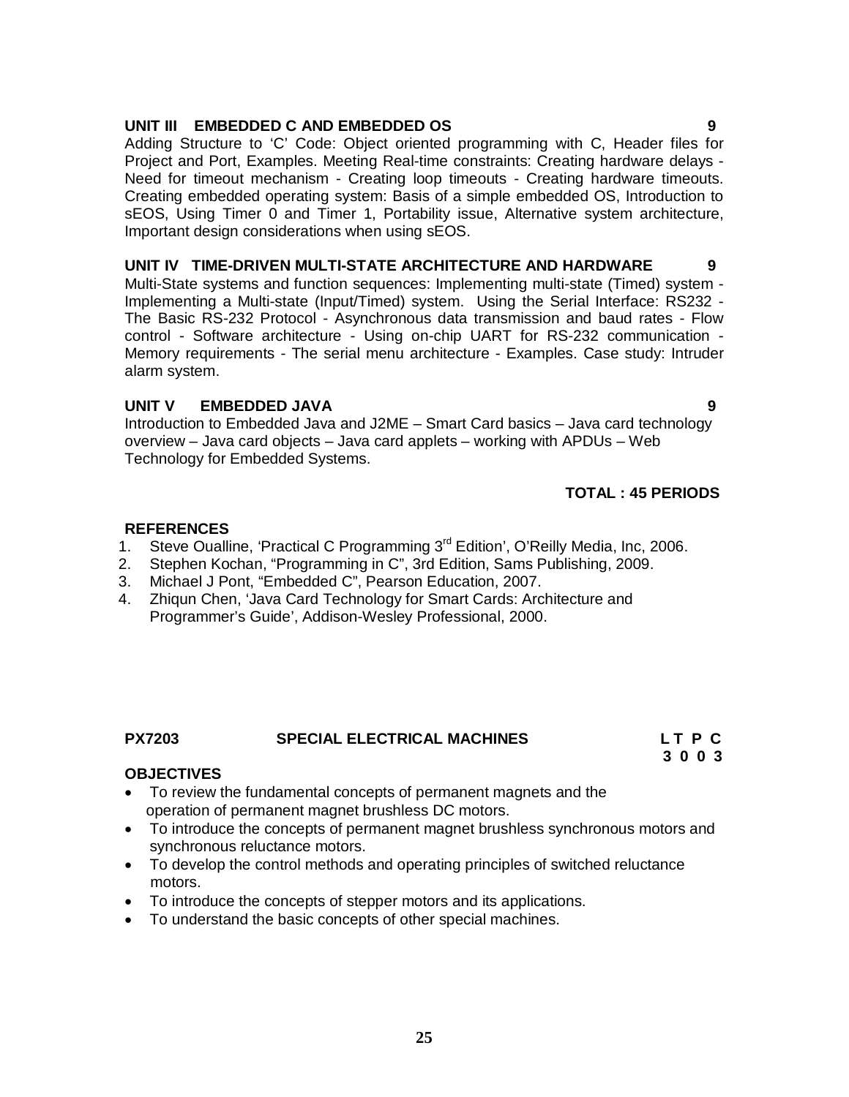#### **UNIT III EMBEDDED C AND EMBEDDED OS 9**

Adding Structure to 'C' Code: Object oriented programming with C, Header files for Project and Port, Examples. Meeting Real-time constraints: Creating hardware delays - Need for timeout mechanism - Creating loop timeouts - Creating hardware timeouts. Creating embedded operating system: Basis of a simple embedded OS, Introduction to sEOS, Using Timer 0 and Timer 1, Portability issue, Alternative system architecture, Important design considerations when using sEOS.

#### **UNIT IV TIME-DRIVEN MULTI-STATE ARCHITECTURE AND HARDWARE 9**

Multi-State systems and function sequences: Implementing multi-state (Timed) system - Implementing a Multi-state (Input/Timed) system. Using the Serial Interface: RS232 - The Basic RS-232 Protocol - Asynchronous data transmission and baud rates - Flow control - Software architecture - Using on-chip UART for RS-232 communication - Memory requirements - The serial menu architecture - Examples. Case study: Intruder alarm system.

### **UNIT V EMBEDDED JAVA 9**

Introduction to Embedded Java and J2ME – Smart Card basics – Java card technology overview – Java card objects – Java card applets – working with APDUs – Web Technology for Embedded Systems.

# **TOTAL : 45 PERIODS**

### **REFERENCES**

- 1. Steve Oualline, 'Practical C Programming 3rd Edition', O'Reilly Media, Inc, 2006.
- 2. Stephen Kochan, "Programming in C", 3rd Edition, Sams Publishing, 2009.
- 3. Michael J Pont, "Embedded C", Pearson Education, 2007.
- 4. Zhiqun Chen, 'Java Card Technology for Smart Cards: Architecture and Programmer's Guide', Addison-Wesley Professional, 2000.

# PX7203 SPECIAL ELECTRICAL MACHINES L T P C<br>3 0 0 3

 **3 0 0 3**

# **OBJECTIVES**

- To review the fundamental concepts of permanent magnets and the operation of permanent magnet brushless DC motors.
- To introduce the concepts of permanent magnet brushless synchronous motors and synchronous reluctance motors.
- To develop the control methods and operating principles of switched reluctance motors.
- To introduce the concepts of stepper motors and its applications.
- To understand the basic concepts of other special machines.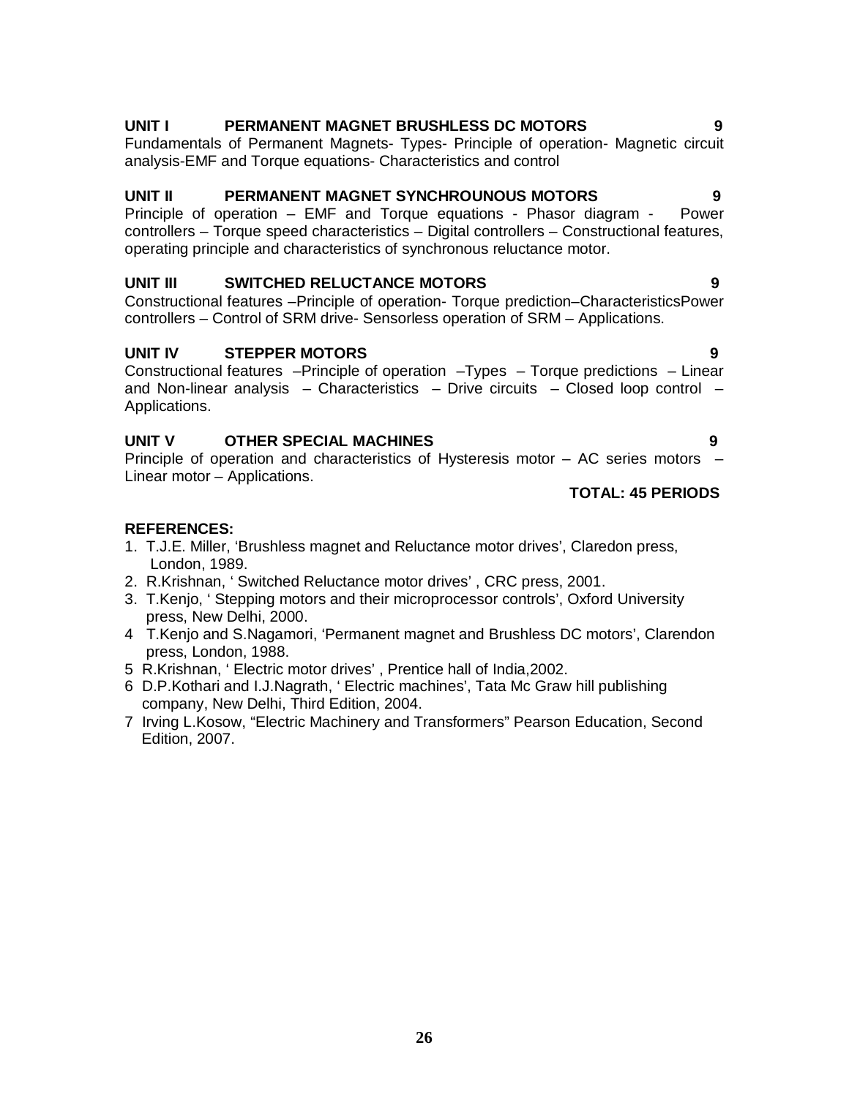# **UNIT I PERMANENT MAGNET BRUSHLESS DC MOTORS**

Fundamentals of Permanent Magnets- Types- Principle of operation- Magnetic circuit analysis-EMF and Torque equations- Characteristics and control

#### **UNIT II PERMANENT MAGNET SYNCHROUNOUS MOTORS 9**

Principle of operation – EMF and Torque equations - Phasor diagram - Power controllers – Torque speed characteristics – Digital controllers – Constructional features, operating principle and characteristics of synchronous reluctance motor.

# **UNIT III SWITCHED RELUCTANCE MOTORS 9**

Constructional features –Principle of operation- Torque prediction–CharacteristicsPower controllers – Control of SRM drive- Sensorless operation of SRM – Applications.

# **UNIT IV STEPPER MOTORS 9**

Constructional features –Principle of operation –Types – Torque predictions – Linear and Non-linear analysis – Characteristics – Drive circuits – Closed loop control – Applications.

# **UNIT V OTHER SPECIAL MACHINES 9**

Principle of operation and characteristics of Hysteresis motor – AC series motors – Linear motor – Applications.

# **TOTAL: 45 PERIODS**

#### **REFERENCES:**

- 1. T.J.E. Miller, 'Brushless magnet and Reluctance motor drives', Claredon press, London, 1989.
- 2. R.Krishnan, ' Switched Reluctance motor drives' , CRC press, 2001.
- 3. T.Kenjo, ' Stepping motors and their microprocessor controls', Oxford University press, New Delhi, 2000.
- 4 T.Kenjo and S.Nagamori, 'Permanent magnet and Brushless DC motors', Clarendon press, London, 1988.
- 5 R.Krishnan, ' Electric motor drives' , Prentice hall of India,2002.
- 6 D.P.Kothari and I.J.Nagrath, ' Electric machines', Tata Mc Graw hill publishing company, New Delhi, Third Edition, 2004.
- 7 Irving L.Kosow, "Electric Machinery and Transformers" Pearson Education, Second Edition, 2007.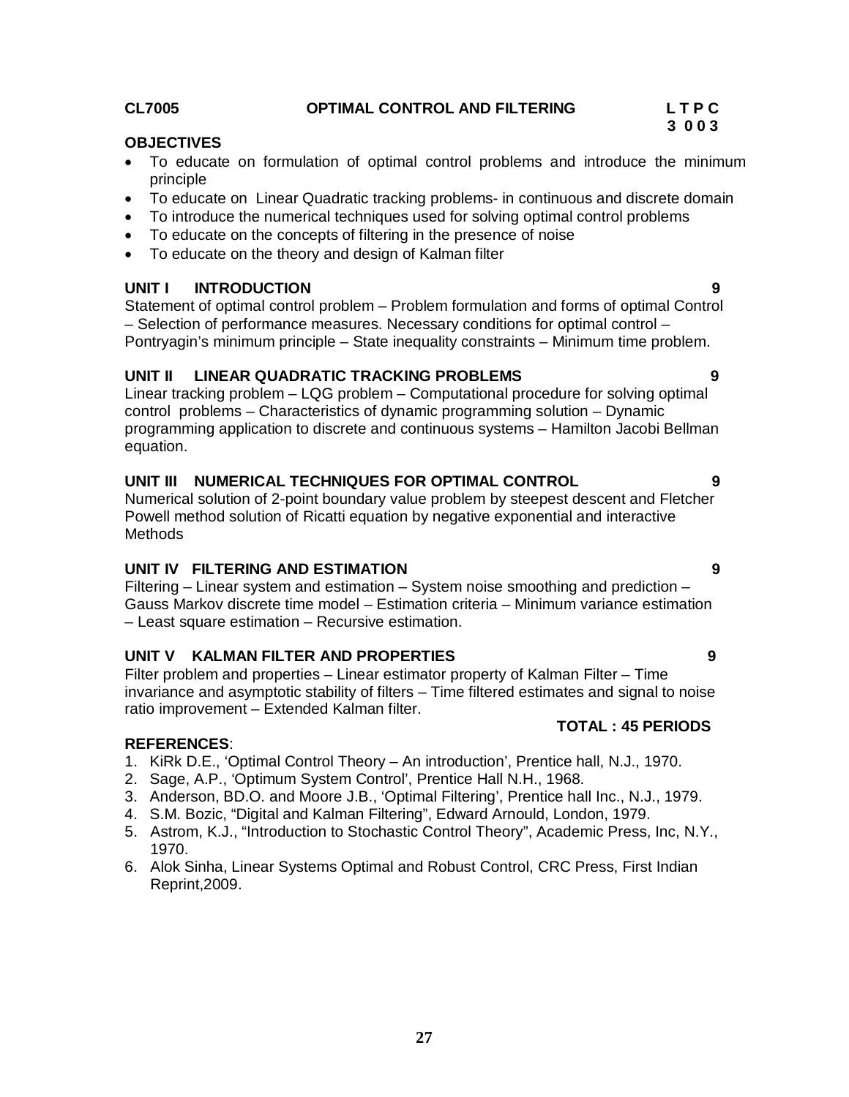Statement of optimal control problem – Problem formulation and forms of optimal Control – Selection of performance measures. Necessary conditions for optimal control –

**UNIT I INTRODUCTION 9**

Pontryagin's minimum principle – State inequality constraints – Minimum time problem.

#### **UNIT II LINEAR QUADRATIC TRACKING PROBLEMS 9**

Linear tracking problem – LQG problem – Computational procedure for solving optimal control problems – Characteristics of dynamic programming solution – Dynamic programming application to discrete and continuous systems – Hamilton Jacobi Bellman equation.

#### **UNIT III NUMERICAL TECHNIQUES FOR OPTIMAL CONTROL 9**

Numerical solution of 2-point boundary value problem by steepest descent and Fletcher Powell method solution of Ricatti equation by negative exponential and interactive **Methods** 

#### **UNIT IV FILTERING AND ESTIMATION 9**

Filtering – Linear system and estimation – System noise smoothing and prediction – Gauss Markov discrete time model – Estimation criteria – Minimum variance estimation – Least square estimation – Recursive estimation.

### **UNIT V KALMAN FILTER AND PROPERTIES 9**

Filter problem and properties – Linear estimator property of Kalman Filter – Time invariance and asymptotic stability of filters – Time filtered estimates and signal to noise ratio improvement – Extended Kalman filter.  **TOTAL : 45 PERIODS** 

#### **REFERENCES**:

- 1. KiRk D.E., 'Optimal Control Theory An introduction', Prentice hall, N.J., 1970.
- 2. Sage, A.P., 'Optimum System Control', Prentice Hall N.H., 1968.
- 3. Anderson, BD.O. and Moore J.B., 'Optimal Filtering', Prentice hall Inc., N.J., 1979.
- 4. S.M. Bozic, "Digital and Kalman Filtering", Edward Arnould, London, 1979.
- 5. Astrom, K.J., "Introduction to Stochastic Control Theory", Academic Press, Inc, N.Y., 1970.
- 6. Alok Sinha, Linear Systems Optimal and Robust Control, CRC Press, First Indian Reprint,2009.

- To educate on formulation of optimal control problems and introduce the minimum principle
- To educate on Linear Quadratic tracking problems- in continuous and discrete domain
- To introduce the numerical techniques used for solving optimal control problems
- To educate on the concepts of filtering in the presence of noise
- To educate on the theory and design of Kalman filter

#### **CL7005 OPTIMAL CONTROL AND FILTERING L T P C**

**OBJECTIVES** 

# **3 0 0 3**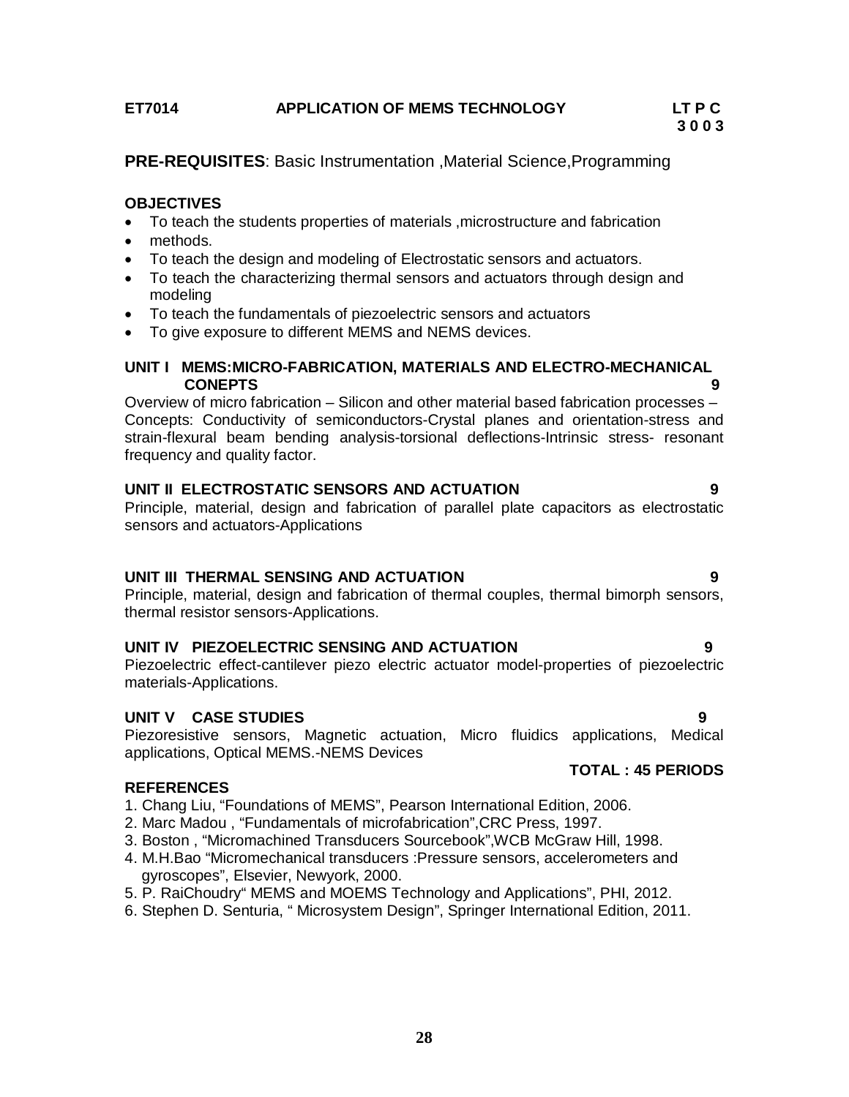# **ET7014 APPLICATION OF MEMS TECHNOLOGY LT P C**

# **3 0 0 3**

**PRE-REQUISITES**: Basic Instrumentation ,Material Science,Programming

# **OBJECTIVES**

- To teach the students properties of materials ,microstructure and fabrication
- methods.
- To teach the design and modeling of Electrostatic sensors and actuators.
- To teach the characterizing thermal sensors and actuators through design and modeling
- To teach the fundamentals of piezoelectric sensors and actuators
- To give exposure to different MEMS and NEMS devices.

#### **UNIT I MEMS:MICRO-FABRICATION, MATERIALS AND ELECTRO-MECHANICAL CONEPTS** 9

Overview of micro fabrication – Silicon and other material based fabrication processes – Concepts: Conductivity of semiconductors-Crystal planes and orientation-stress and strain-flexural beam bending analysis-torsional deflections-Intrinsic stress- resonant frequency and quality factor.

### **UNIT II ELECTROSTATIC SENSORS AND ACTUATION 9**

Principle, material, design and fabrication of parallel plate capacitors as electrostatic sensors and actuators-Applications

### **UNIT III THERMAL SENSING AND ACTUATION 9**

Principle, material, design and fabrication of thermal couples, thermal bimorph sensors, thermal resistor sensors-Applications.

# **UNIT IV PIEZOELECTRIC SENSING AND ACTUATION 9**

Piezoelectric effect-cantilever piezo electric actuator model-properties of piezoelectric materials-Applications.

### **UNIT V CASE STUDIES 9**

Piezoresistive sensors, Magnetic actuation, Micro fluidics applications, Medical applications, Optical MEMS.-NEMS Devices

### **REFERENCES**

- 1. Chang Liu, "Foundations of MEMS", Pearson International Edition, 2006.
- 2. Marc Madou , "Fundamentals of microfabrication",CRC Press, 1997.
- 3. Boston , "Micromachined Transducers Sourcebook",WCB McGraw Hill, 1998.
- 4. M.H.Bao "Micromechanical transducers :Pressure sensors, accelerometers and gyroscopes", Elsevier, Newyork, 2000.
- 5. P. RaiChoudry" MEMS and MOEMS Technology and Applications", PHI, 2012.
- 6. Stephen D. Senturia, " Microsystem Design", Springer International Edition, 2011.

**TOTAL : 45 PERIODS**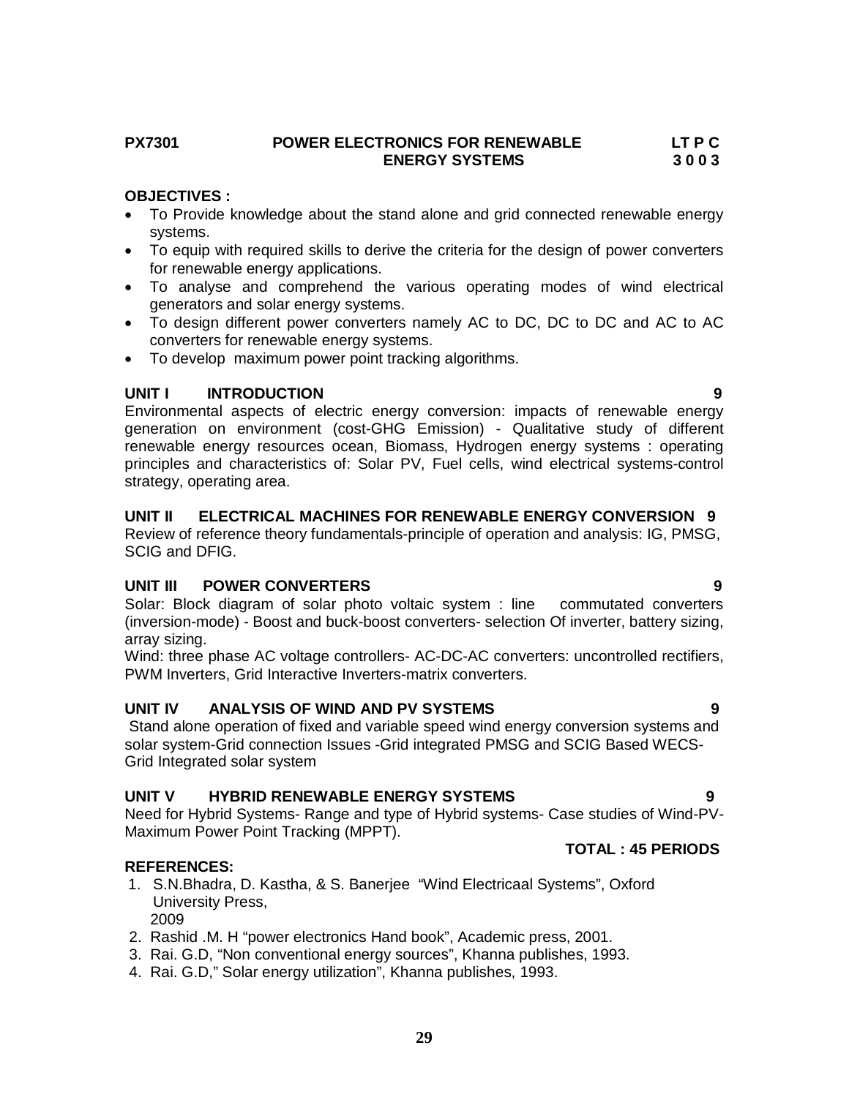### **PX7301 POWER ELECTRONICS FOR RENEWABLE LT P C ENERGY SYSTEMS**

# **OBJECTIVES :**

- To Provide knowledge about the stand alone and grid connected renewable energy systems.
- To equip with required skills to derive the criteria for the design of power converters for renewable energy applications.
- To analyse and comprehend the various operating modes of wind electrical generators and solar energy systems.
- To design different power converters namely AC to DC, DC to DC and AC to AC converters for renewable energy systems.
- To develop maximum power point tracking algorithms.

# **UNIT I INTRODUCTION 9**

Environmental aspects of electric energy conversion: impacts of renewable energy generation on environment (cost-GHG Emission) - Qualitative study of different renewable energy resources ocean, Biomass, Hydrogen energy systems : operating principles and characteristics of: Solar PV, Fuel cells, wind electrical systems-control strategy, operating area.

# **UNIT II ELECTRICAL MACHINES FOR RENEWABLE ENERGY CONVERSION 9**

Review of reference theory fundamentals-principle of operation and analysis: IG, PMSG, SCIG and DFIG.

# **UNIT III POWER CONVERTERS 9**

Solar: Block diagram of solar photo voltaic system : line commutated converters (inversion-mode) - Boost and buck-boost converters- selection Of inverter, battery sizing, array sizing.

Wind: three phase AC voltage controllers- AC-DC-AC converters: uncontrolled rectifiers, PWM Inverters, Grid Interactive Inverters-matrix converters.

# **UNIT IV ANALYSIS OF WIND AND PV SYSTEMS 9**

Stand alone operation of fixed and variable speed wind energy conversion systems and solar system-Grid connection Issues -Grid integrated PMSG and SCIG Based WECS-Grid Integrated solar system

# **UNIT V HYBRID RENEWABLE ENERGY SYSTEMS 9**

Need for Hybrid Systems- Range and type of Hybrid systems- Case studies of Wind-PV-Maximum Power Point Tracking (MPPT). **TOTAL : 45 PERIODS** 

# **REFERENCES:**

- 1. S.N.Bhadra, D. Kastha, & S. Banerjee "Wind Electricaal Systems", Oxford University Press, 2009
- 2. Rashid .M. H "power electronics Hand book", Academic press, 2001.
- 3. Rai. G.D, "Non conventional energy sources", Khanna publishes, 1993.
- 4. Rai. G.D," Solar energy utilization", Khanna publishes, 1993.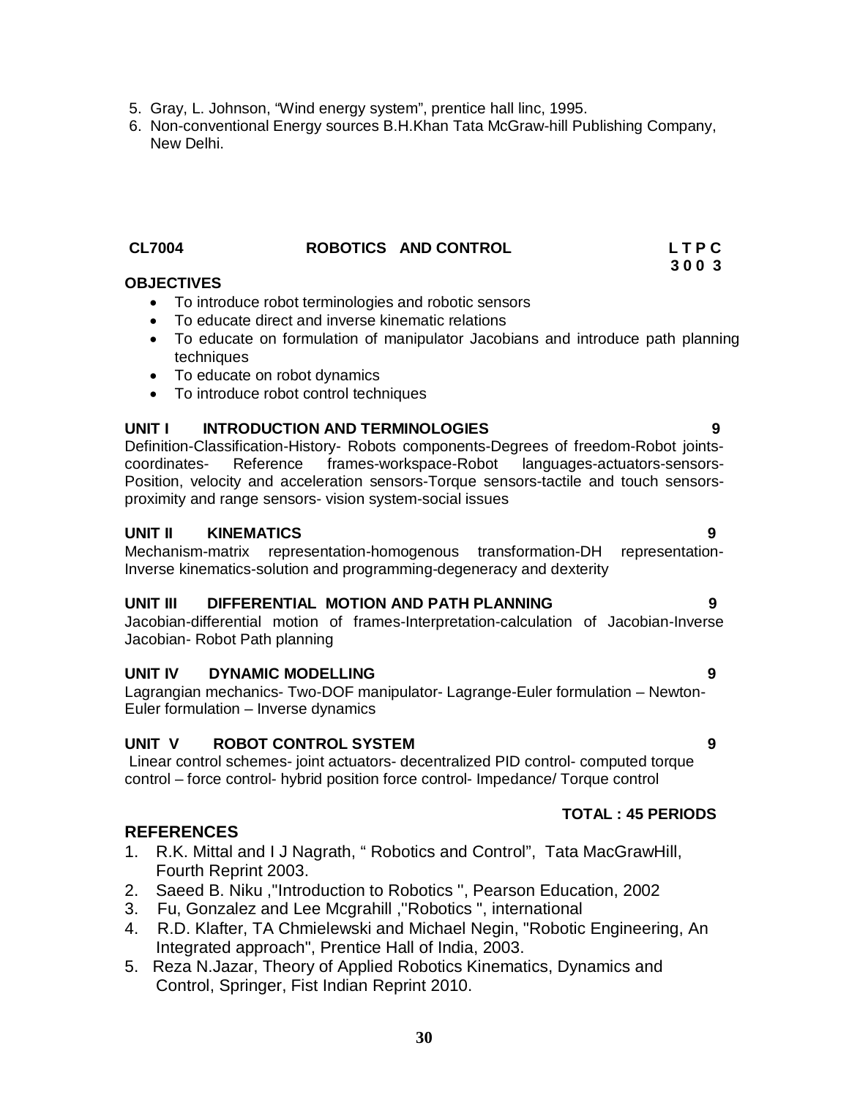- 5. Gray, L. Johnson, "Wind energy system", prentice hall linc, 1995.
- 6. Non-conventional Energy sources B.H.Khan Tata McGraw-hill Publishing Company, New Delhi.

#### **CL7004 ROBOTICS AND CONTROL L T P C 3 0 0 3**

### **OBJECTIVES**

- To introduce robot terminologies and robotic sensors
- To educate direct and inverse kinematic relations
- To educate on formulation of manipulator Jacobians and introduce path planning techniques
- To educate on robot dynamics
- To introduce robot control techniques

### **UNIT I INTRODUCTION AND TERMINOLOGIES 9**

Definition-Classification-History- Robots components-Degrees of freedom-Robot jointscoordinates- Reference frames-workspace-Robot languages-actuators-sensors-Position, velocity and acceleration sensors-Torque sensors-tactile and touch sensorsproximity and range sensors- vision system-social issues

#### **UNIT II KINEMATICS 9**

Mechanism-matrix representation-homogenous transformation-DH representation-Inverse kinematics-solution and programming-degeneracy and dexterity

#### **UNIT III DIFFERENTIAL MOTION AND PATH PLANNING 9**

Jacobian-differential motion of frames-Interpretation-calculation of Jacobian-Inverse Jacobian- Robot Path planning

### **UNIT IV DYNAMIC MODELLING 9**

Lagrangian mechanics- Two-DOF manipulator- Lagrange-Euler formulation – Newton-Euler formulation – Inverse dynamics

#### **UNIT V ROBOT CONTROL SYSTEM 9**

Linear control schemes- joint actuators- decentralized PID control- computed torque control – force control- hybrid position force control- Impedance/ Torque control

### **REFERENCES**

- 1. R.K. Mittal and I J Nagrath, " Robotics and Control", Tata MacGrawHill, Fourth Reprint 2003.
- 2. Saeed B. Niku ,''Introduction to Robotics '', Pearson Education, 2002
- 3. Fu, Gonzalez and Lee Mcgrahill ,''Robotics ", international
- 4. R.D. Klafter, TA Chmielewski and Michael Negin, "Robotic Engineering, An Integrated approach", Prentice Hall of India, 2003.
- 5. Reza N.Jazar, Theory of Applied Robotics Kinematics, Dynamics and Control, Springer, Fist Indian Reprint 2010.

# **TOTAL : 45 PERIODS**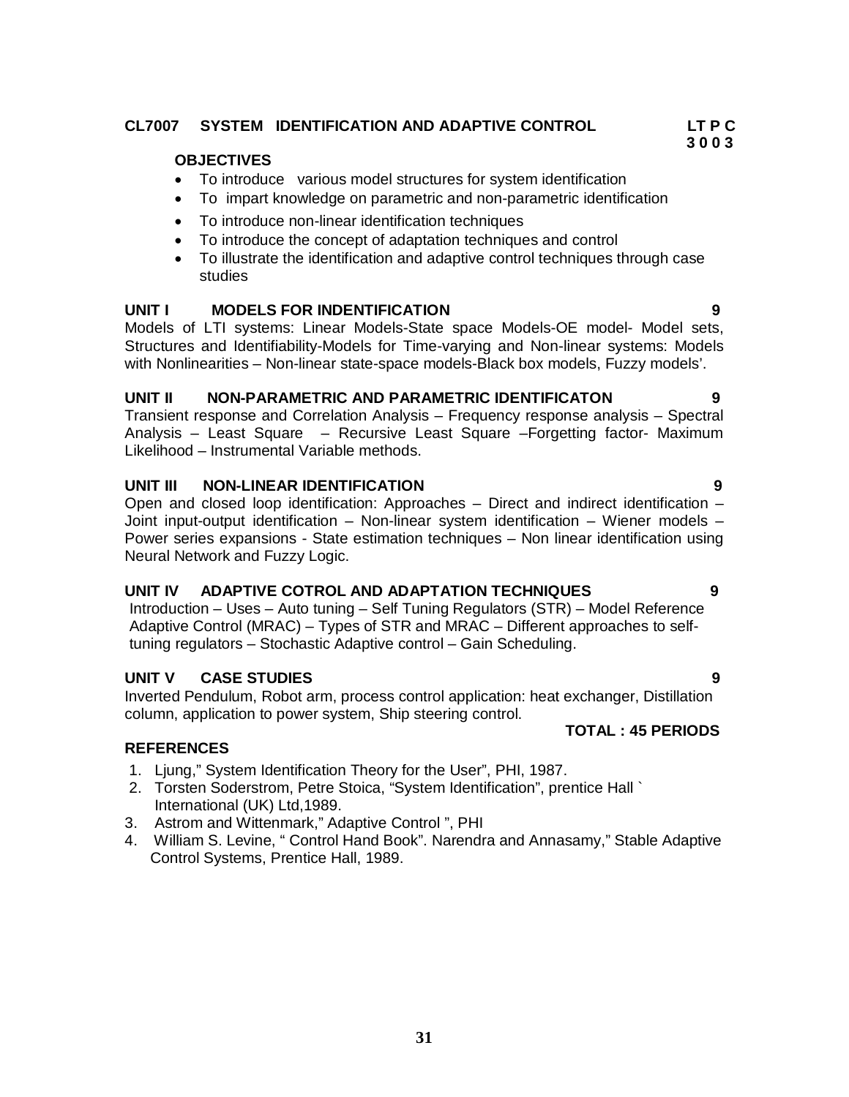# **CL7007 SYSTEM IDENTIFICATION AND ADAPTIVE CONTROL LT P C**

# **OBJECTIVES**

- To introduce various model structures for system identification
- To impart knowledge on parametric and non-parametric identification
- To introduce non-linear identification techniques
- To introduce the concept of adaptation techniques and control
- To illustrate the identification and adaptive control techniques through case studies

# **UNIT I MODELS FOR INDENTIFICATION 9**

Models of LTI systems: Linear Models-State space Models-OE model- Model sets, Structures and Identifiability-Models for Time-varying and Non-linear systems: Models with Nonlinearities – Non-linear state-space models-Black box models, Fuzzy models'.

### **UNIT II NON-PARAMETRIC AND PARAMETRIC IDENTIFICATON 9**

Transient response and Correlation Analysis – Frequency response analysis – Spectral Analysis – Least Square – Recursive Least Square –Forgetting factor- Maximum Likelihood – Instrumental Variable methods.

# **UNIT III NON-LINEAR IDENTIFICATION 9**

Open and closed loop identification: Approaches – Direct and indirect identification – Joint input-output identification – Non-linear system identification – Wiener models – Power series expansions - State estimation techniques – Non linear identification using Neural Network and Fuzzy Logic.

# **UNIT IV ADAPTIVE COTROL AND ADAPTATION TECHNIQUES 9**

 Introduction – Uses – Auto tuning – Self Tuning Regulators (STR) – Model Reference Adaptive Control (MRAC) – Types of STR and MRAC – Different approaches to self tuning regulators – Stochastic Adaptive control – Gain Scheduling.

# **UNIT V CASE STUDIES 9**

Inverted Pendulum, Robot arm, process control application: heat exchanger, Distillation column, application to power system, Ship steering control.

### **TOTAL : 45 PERIODS**

### **REFERENCES**

- 1. Ljung," System Identification Theory for the User", PHI, 1987.
- 2. Torsten Soderstrom, Petre Stoica, "System Identification", prentice Hall ` International (UK) Ltd,1989.
- 3. Astrom and Wittenmark," Adaptive Control ", PHI
- 4. William S. Levine, " Control Hand Book". Narendra and Annasamy," Stable Adaptive Control Systems, Prentice Hall, 1989.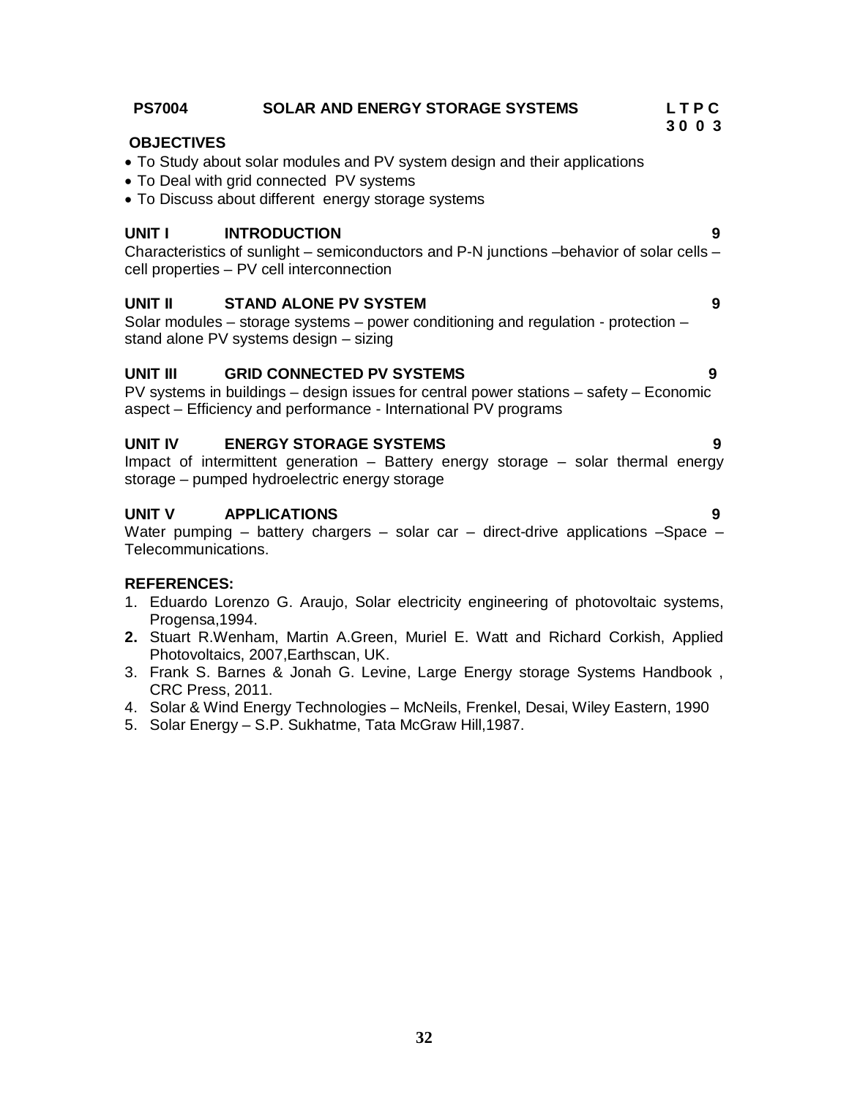| UNIT I   | <b>INTRODUCTION</b><br>Characteristics of sunlight – semiconductors and P-N junctions – behavior of solar cells –<br>cell properties - PV cell interconnection                                       | 9 |
|----------|------------------------------------------------------------------------------------------------------------------------------------------------------------------------------------------------------|---|
| UNIT II  | <b>STAND ALONE PV SYSTEM</b><br>Solar modules – storage systems – power conditioning and regulation - protection –<br>stand alone PV systems design – sizing                                         | 9 |
| UNIT III | <b>GRID CONNECTED PV SYSTEMS</b><br>9<br>$PV$ systems in buildings – design issues for central power stations – safety – Economic<br>aspect - Efficiency and performance - International PV programs |   |
| UNIT IV  | <b>ENERGY STORAGE SYSTEMS</b><br>Impact of intermittent generation – Battery energy storage – solar thermal energy<br>storage – pumped hydroelectric energy storage                                  | 9 |
| UNIT V   | <b>APPLICATIONS</b>                                                                                                                                                                                  | 9 |

Water pumping – battery chargers – solar car – direct-drive applications –Space – Telecommunications.

#### **REFERENCES:**

- 1. Eduardo Lorenzo G. Araujo, Solar electricity engineering of photovoltaic systems, Progensa,1994.
- **2.** Stuart R.Wenham, Martin A.Green, Muriel E. Watt and Richard Corkish, Applied Photovoltaics, 2007,Earthscan, UK.
- 3. Frank S. Barnes & Jonah G. Levine, Large Energy storage Systems Handbook , CRC Press, 2011.
- 4. Solar & Wind Energy Technologies McNeils, Frenkel, Desai, Wiley Eastern, 1990
- 5. Solar Energy S.P. Sukhatme, Tata McGraw Hill,1987.

#### **PS7004 SOLAR AND ENERGY STORAGE SYSTEMS L T P C**

#### **OBJECTIVES**

- To Study about solar modules and PV system design and their applications
- To Deal with grid connected PV systems
- To Discuss about different energy storage systems

$$
f_{\rm{max}}
$$

# **3 0 0 3**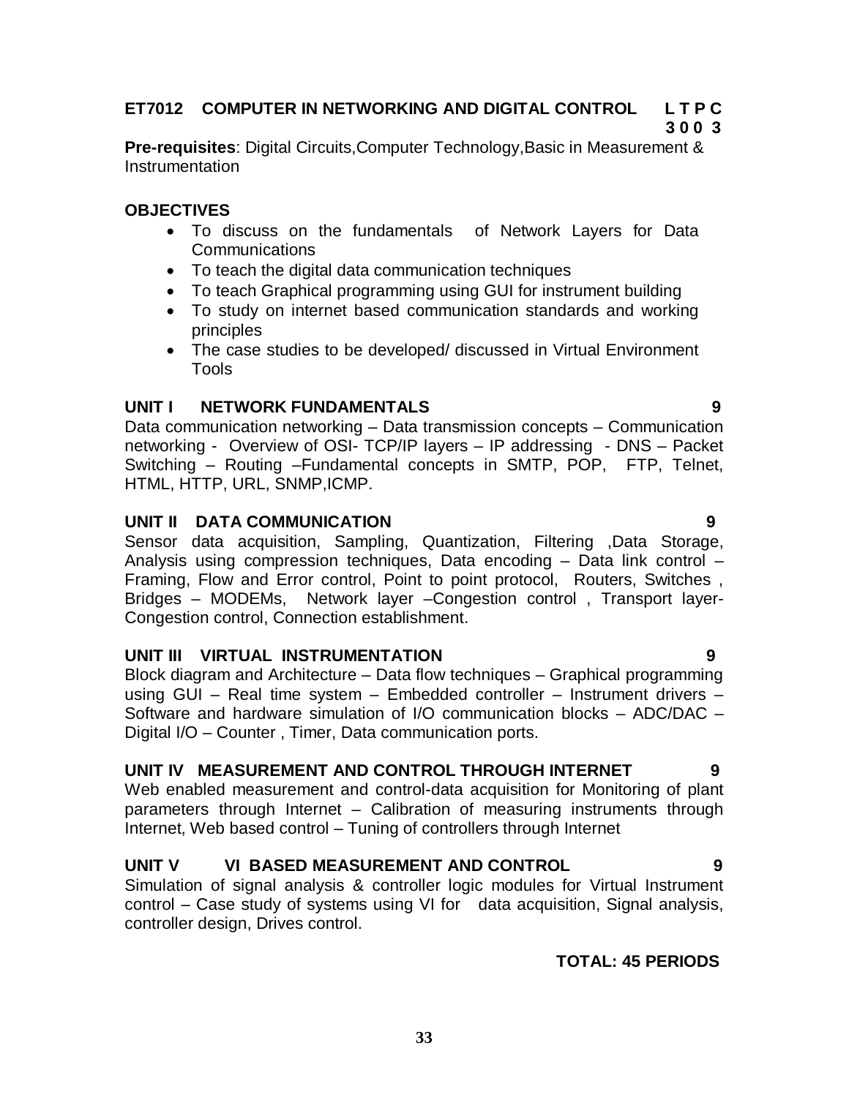# **ET7012 COMPUTER IN NETWORKING AND DIGITAL CONTROL L T P C**

# **3 0 0 3**

**Pre-requisites**: Digital Circuits,Computer Technology,Basic in Measurement & Instrumentation

# **OBJECTIVES**

- To discuss on the fundamentals of Network Layers for Data Communications
- To teach the digital data communication techniques
- To teach Graphical programming using GUI for instrument building
- To study on internet based communication standards and working principles
- The case studies to be developed/ discussed in Virtual Environment Tools

# **UNIT I NETWORK FUNDAMENTALS 9**

Data communication networking – Data transmission concepts – Communication networking - Overview of OSI- TCP/IP layers – IP addressing - DNS – Packet Switching – Routing –Fundamental concepts in SMTP, POP, FTP, Telnet, HTML, HTTP, URL, SNMP,ICMP.

# **UNIT II DATA COMMUNICATION 9**

Sensor data acquisition, Sampling, Quantization, Filtering ,Data Storage, Analysis using compression techniques, Data encoding – Data link control – Framing, Flow and Error control, Point to point protocol, Routers, Switches , Bridges – MODEMs, Network layer –Congestion control , Transport layer-Congestion control, Connection establishment.

# **UNIT III VIRTUAL INSTRUMENTATION 9**

Block diagram and Architecture – Data flow techniques – Graphical programming using GUI – Real time system – Embedded controller – Instrument drivers – Software and hardware simulation of I/O communication blocks – ADC/DAC – Digital I/O – Counter , Timer, Data communication ports.

# **UNIT IV MEASUREMENT AND CONTROL THROUGH INTERNET 9**

Web enabled measurement and control-data acquisition for Monitoring of plant parameters through Internet – Calibration of measuring instruments through Internet, Web based control – Tuning of controllers through Internet

# **UNIT V VI BASED MEASUREMENT AND CONTROL 9**

Simulation of signal analysis & controller logic modules for Virtual Instrument control – Case study of systems using VI for data acquisition, Signal analysis, controller design, Drives control.

# **TOTAL: 45 PERIODS**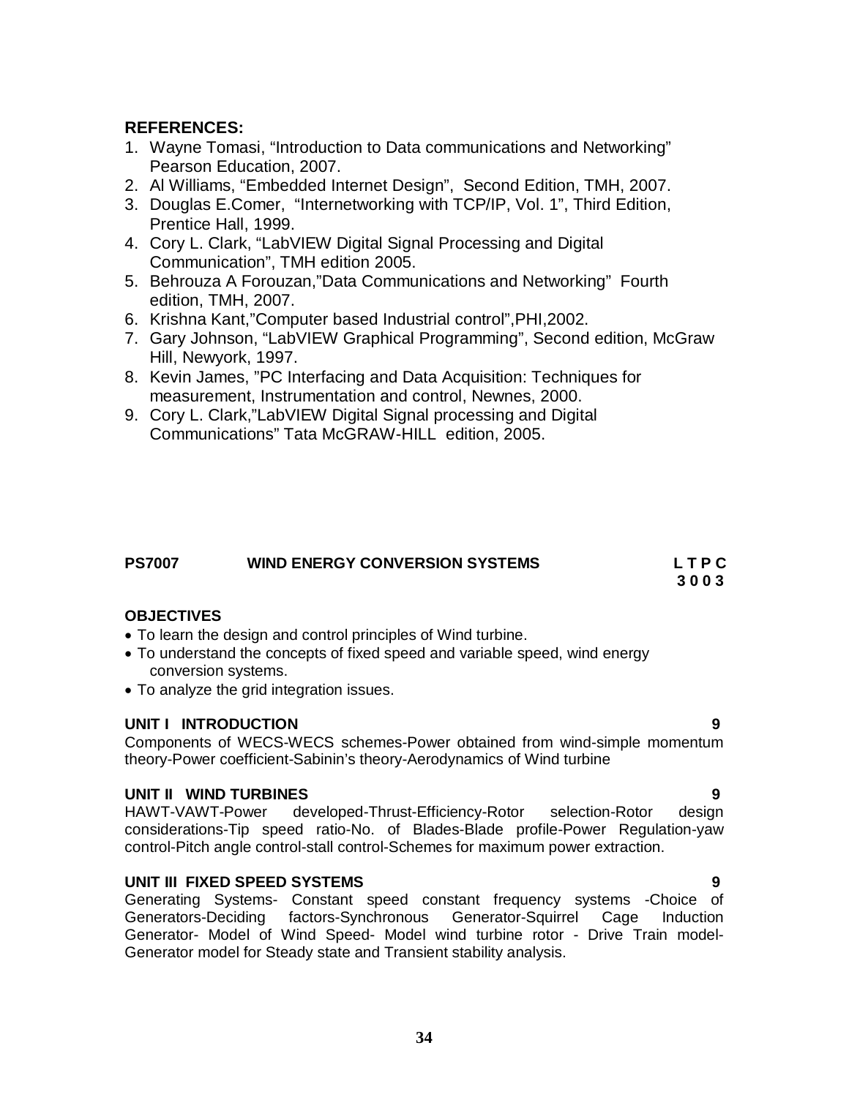# **REFERENCES:**

- 1. Wayne Tomasi, "Introduction to Data communications and Networking" Pearson Education, 2007.
- 2. Al Williams, "Embedded Internet Design", Second Edition, TMH, 2007.
- 3. Douglas E.Comer, "Internetworking with TCP/IP, Vol. 1", Third Edition, Prentice Hall, 1999.
- 4. Cory L. Clark, "LabVIEW Digital Signal Processing and Digital Communication", TMH edition 2005.
- 5. Behrouza A Forouzan,"Data Communications and Networking" Fourth edition, TMH, 2007.
- 6. Krishna Kant,"Computer based Industrial control",PHI,2002.
- 7. Gary Johnson, "LabVIEW Graphical Programming", Second edition, McGraw Hill, Newyork, 1997.
- 8. Kevin James, "PC Interfacing and Data Acquisition: Techniques for measurement, Instrumentation and control, Newnes, 2000.
- 9. Cory L. Clark,"LabVIEW Digital Signal processing and Digital Communications" Tata McGRAW-HILL edition, 2005.

# **PS7007 WIND ENERGY CONVERSION SYSTEMS L T P C**

**3 0 0 3**

# **OBJECTIVES**

- To learn the design and control principles of Wind turbine.
- To understand the concepts of fixed speed and variable speed, wind energy conversion systems.
- To analyze the grid integration issues.

### **UNIT I INTRODUCTION 9**

Components of WECS-WECS schemes-Power obtained from wind-simple momentum theory-Power coefficient-Sabinin's theory-Aerodynamics of Wind turbine

### **UNIT II WIND TURBINES 9**

HAWT-VAWT-Power developed-Thrust-Efficiency-Rotor selection-Rotor design considerations-Tip speed ratio-No. of Blades-Blade profile-Power Regulation-yaw control-Pitch angle control-stall control-Schemes for maximum power extraction.

### **UNIT III FIXED SPEED SYSTEMS 9**

Generating Systems- Constant speed constant frequency systems -Choice of Generators-Deciding factors-Synchronous Generator-Squirrel Cage Induction Generator- Model of Wind Speed- Model wind turbine rotor - Drive Train model-Generator model for Steady state and Transient stability analysis.

### **34**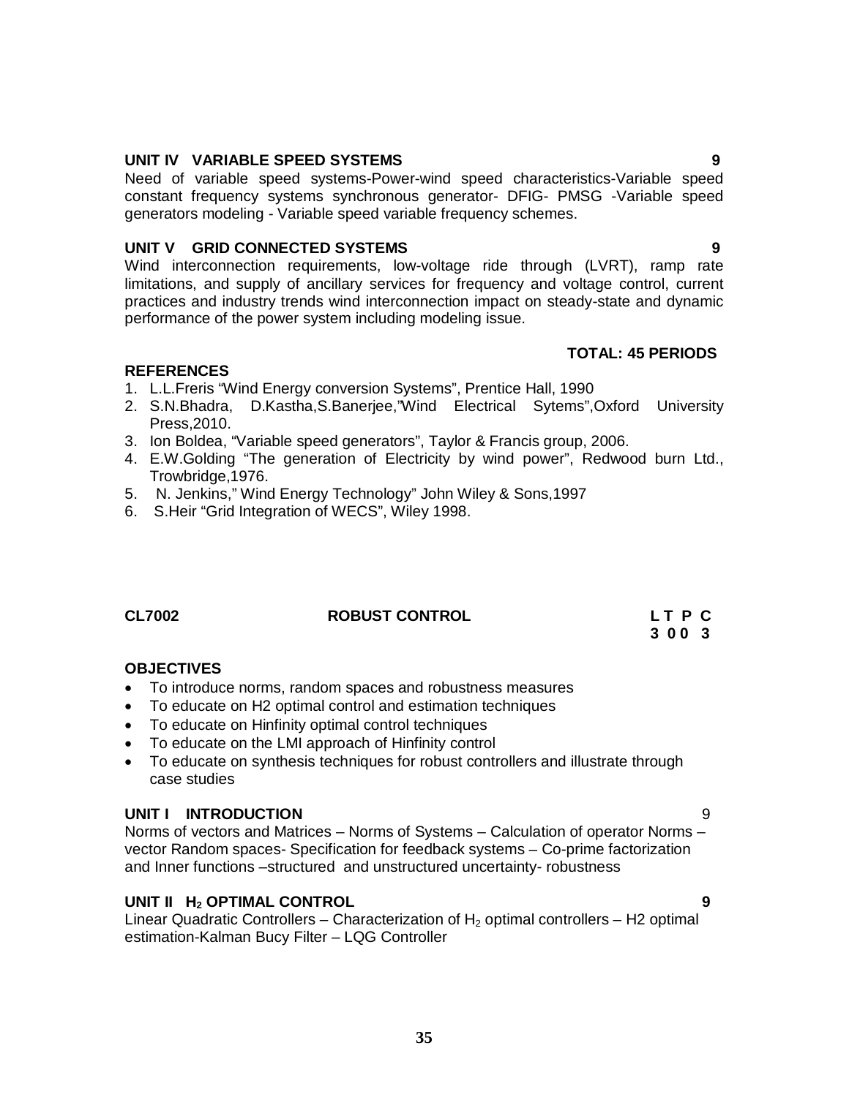# **UNIT IV VARIABLE SPEED SYSTEMS 9**

Need of variable speed systems-Power-wind speed characteristics-Variable speed constant frequency systems synchronous generator- DFIG- PMSG -Variable speed generators modeling - Variable speed variable frequency schemes.

# **UNIT V GRID CONNECTED SYSTEMS 9**

Wind interconnection requirements, low-voltage ride through (LVRT), ramp rate limitations, and supply of ancillary services for frequency and voltage control, current practices and industry trends wind interconnection impact on steady-state and dynamic performance of the power system including modeling issue.

# **TOTAL: 45 PERIODS**

# **REFERENCES**

- 1. L.L.Freris "Wind Energy conversion Systems", Prentice Hall, 1990
- 2. S.N.Bhadra, D.Kastha,S.Banerjee,"Wind Electrical Sytems",Oxford University Press,2010.
- 3. Ion Boldea, "Variable speed generators", Taylor & Francis group, 2006.
- 4. E.W.Golding "The generation of Electricity by wind power", Redwood burn Ltd., Trowbridge,1976.
- 5. N. Jenkins," Wind Energy Technology" John Wiley & Sons,1997
- 6. S.Heir "Grid Integration of WECS", Wiley 1998.

# **CL7002 ROBUST CONTROL L T P C**

# **OBJECTIVES**

- To introduce norms, random spaces and robustness measures
- To educate on H2 optimal control and estimation techniques
- To educate on Hinfinity optimal control techniques
- To educate on the LMI approach of Hinfinity control
- To educate on synthesis techniques for robust controllers and illustrate through case studies

### **UNIT I INTRODUCTION** 9

Norms of vectors and Matrices – Norms of Systems – Calculation of operator Norms – vector Random spaces- Specification for feedback systems – Co-prime factorization and Inner functions –structured and unstructured uncertainty- robustness

### **UNIT II H<sup>2</sup> OPTIMAL CONTROL 9**

Linear Quadratic Controllers – Characterization of  $H_2$  optimal controllers – H2 optimal estimation-Kalman Bucy Filter – LQG Controller

 **3 0 0 3**